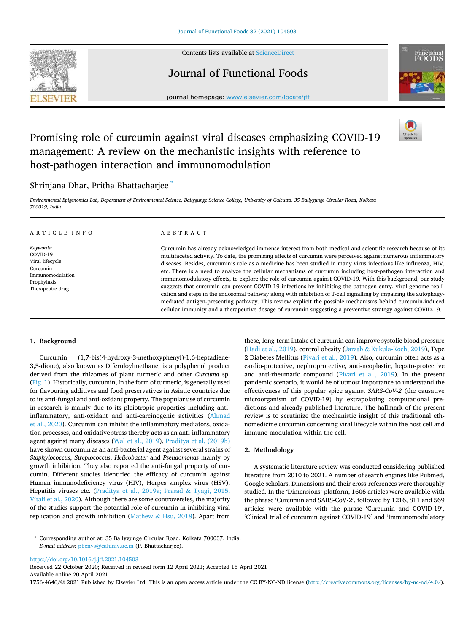

Contents lists available at [ScienceDirect](www.sciencedirect.com/science/journal/17564646)

Journal of Functional Foods



journal homepage: [www.elsevier.com/locate/jff](https://www.elsevier.com/locate/jff)

# Promising role of curcumin against viral diseases emphasizing COVID-19 management: A review on the mechanistic insights with reference to host-pathogen interaction and immunomodulation

## Shrinjana Dhar, Pritha Bhattacharjee \*

*Environmental Epigenomics Lab, Department of Environmental Science, Ballygunge Science College, University of Calcutta, 35 Ballygunge Circular Road, Kolkata 700019, India* 

#### A R T I C L E I N F O

*Keywords:*  COVID-19 Viral lifecycle Curcumin Immunomodulation Prophylaxis Therapeutic drug

## ABSTRACT

Curcumin has already acknowledged immense interest from both medical and scientific research because of its multifaceted activity. To date, the promising effects of curcumin were perceived against numerous inflammatory diseases. Besides, curcumin's role as a medicine has been studied in many virus infections like influenza, HIV, etc. There is a need to analyze the cellular mechanisms of curcumin including host-pathogen interaction and immunomodulatory effects, to explore the role of curcumin against COVID-19. With this background, our study suggests that curcumin can prevent COVID-19 infections by inhibiting the pathogen entry, viral genome replication and steps in the endosomal pathway along with inhibition of T-cell signalling by impairing the autophagymediated antigen-presenting pathway. This review explicit the possible mechanisms behind curcumin-induced cellular immunity and a therapeutive dosage of curcumin suggesting a preventive strategy against COVID-19.

#### **1. Background**

Curcumin (1,7-bis(4-hydroxy-3-methoxyphenyl)-1,6-heptadiene-3,5-dione), also known as Diferuloylmethane, is a polyphenol product derived from the rhizomes of plant turmeric and other *Curcuma* sp. ([Fig. 1\)](#page-1-0). Historically, curcumin, in the form of turmeric, is generally used for flavouring additives and food preservatives in Asiatic countries due to its anti-fungal and anti-oxidant property. The popular use of curcumin in research is mainly due to its pleiotropic properties including antiinflammatory, anti-oxidant and anti-carcinogenic activities [\(Ahmad](#page-8-0)  [et al., 2020\)](#page-8-0). Curcumin can inhibit the inflammatory mediators, oxidation processes, and oxidative stress thereby acts as an anti-inflammatory agent against many diseases [\(Wal et al., 2019\)](#page-10-0). [Praditya et al. \(2019b\)](#page-10-0)  have shown curcumin as an anti-bacterial agent against several strains of *Staphylococcus*, *Streptococcus*, *Helicobacter* and *Pseudomonas* mainly by growth inhibition. They also reported the anti-fungal property of curcumin. Different studies identified the efficacy of curcumin against Human immunodeficiency virus (HIV), Herpes simplex virus (HSV), Hepatitis viruses etc. [\(Praditya et al., 2019a; Prasad](#page-10-0) & Tyagi, 2015; [Vitali et al., 2020\)](#page-10-0). Although there are some controversies, the majority of the studies support the potential role of curcumin in inhibiting viral replication and growth inhibition (Mathew & [Hsu, 2018\)](#page-9-0). Apart from these, long-term intake of curcumin can improve systolic blood pressure ([Hadi et al., 2019](#page-9-0)), control obesity (Jarząb & [Kukula-Koch, 2019\)](#page-9-0), Type 2 Diabetes Mellitus [\(Pivari et al., 2019\)](#page-10-0). Also, curcumin often acts as a cardio-protective, nephroprotective, anti-neoplastic, hepato-protective and anti-rheumatic compound [\(Pivari et al., 2019\)](#page-10-0). In the present pandemic scenario, it would be of utmost importance to understand the effectiveness of this popular spice against *SARS-CoV-2* (the causative microorganism of COVID-19) by extrapolating computational predictions and already published literature. The hallmark of the present review is to scrutinize the mechanistic insight of this traditional ethnomedicine curcumin concerning viral lifecycle within the host cell and immune-modulation within the cell.

### **2. Methodology**

A systematic literature review was conducted considering published literature from 2010 to 2021. A number of search engines like Pubmed, Google scholars, Dimensions and their cross-references were thoroughly studied. In the 'Dimensions' platform, 1606 articles were available with the phrase 'Curcumin and SARS-CoV-2′ , followed by 1216, 811 and 569 articles were available with the phrase 'Curcumin and COVID-19′ , 'Clinical trial of curcumin against COVID-19′ and 'Immunomodulatory

<https://doi.org/10.1016/j.jff.2021.104503>

Available online 20 April 2021 Received 22 October 2020; Received in revised form 12 April 2021; Accepted 15 April 2021

1756-4646/© 2021 Published by Elsevier Ltd. This is an open access article under the CC BY-NC-ND license (http://creativecommons.org/licenses/by-nc-nd/4.0/).

<sup>\*</sup> Corresponding author at: 35 Ballygunge Circular Road, Kolkata 700037, India. *E-mail address:* [pbenvs@caluniv.ac.in](mailto:pbenvs@caluniv.ac.in) (P. Bhattacharjee).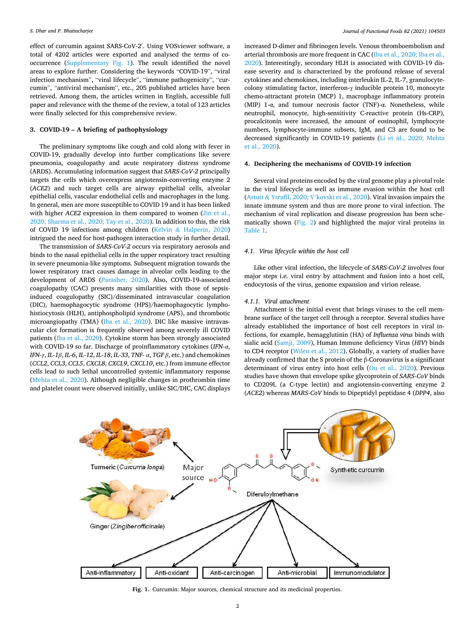<span id="page-1-0"></span>effect of curcumin against SARS-CoV-2′ . Using VOSviewer software, a total of 4202 articles were exported and analysed the terms of cooccurrence (Supplementary Fig. 1). The result identified the novel areas to explore further. Considering the keywords "COVID-19", "viral infection mechanism", "viral lifecycle", "immune pathogenicity", "curcumin", "antiviral mechanism", etc., 205 published articles have been retrieved. Among them, the articles written in English, accessible full paper and relevance with the theme of the review, a total of 123 articles were finally selected for this comprehensive review.

## **3. COVID-19 – A briefing of pathophysiology**

The preliminary symptoms like cough and cold along with fever in COVID-19, gradually develop into further complications like severe pneumonia, coagulopathy and acute respiratory distress syndrome (ARDS). Accumulating information suggest that *SARS-CoV-2* principally targets the cells which overexpress angiotensin-converting enzyme 2 (*ACE2*) and such target cells are airway epithelial cells, alveolar epithelial cells, vascular endothelial cells and macrophages in the lung. In general, men are more susceptible to COVID 19 and it has been linked with higher *ACE2* expression in them compared to women (Jin et al., [2020; Sharma et al., 2020; Tay et al., 2020\)](#page-9-0). In addition to this, the risk of COVID 19 infections among children (Kelvin & [Halperin, 2020\)](#page-9-0) intrigued the need for host-pathogen interaction study in further detail.

The transmission of *SARS-CoV-2* occurs via respiratory aerosols and binds to the nasal epithelial cells in the upper respiratory tract resulting in severe pneumonia-like symptoms. Subsequent migration towards the lower respiratory tract causes damage in alveolar cells leading to the development of ARDS [\(Parasher, 2020](#page-10-0)). Also, COVID-19-associated coagulopathy (CAC) presents many similarities with those of sepsisinduced coagulopathy (SIC)/disseminated intravascular coagulation (DIC), haemophagocytic syndrome (HPS)/haemophagocytic lymphohistiocytosis (HLH), antiphospholipid syndrome (APS), and thrombotic microangiopathy (TMA) ([Iba et al., 2020](#page-9-0)). DIC like massive intravascular clot formation is frequently observed among severely ill COVID patients ([Iba et al., 2020\)](#page-9-0). Cytokine storm has been strongly associated with COVID-19 so far. Discharge of proinflammatory cytokines (*IFN-α*, *IFN-γ*, *IL-1β*, *IL-6*, *IL-12*, *IL-18*, *IL-33*, *TNF- α*, *TGF β*, etc.) and chemokines (*CCL2*, *CCL3*, *CCL5*, *CXCL8*, *CXCL9*, *CXCL10*, etc.) from immune effector cells lead to such lethal uncontrolled systemic inflammatory response ([Mehta et al., 2020\)](#page-9-0). Although negligible changes in prothrombin time and platelet count were observed initially, unlike SIC/DIC, CAC displays

increased D-dimer and fibrinogen levels. Venous thromboembolism and arterial thrombosis are more frequent in CAC ([Iba et al., 2020; Iba et al.,](#page-9-0)  [2020\)](#page-9-0). Interestingly, secondary HLH is associated with COVID-19 disease severity and is characterized by the profound release of several cytokines and chemokines, including interleukin IL-2, IL-7, granulocytecolony stimulating factor, interferon-γ inducible protein 10, monocyte chemo-attractant protein (MCP) 1, macrophage inflammatory protein (MIP) 1-α, and tumour necrosis factor (TNF)-α. Nonetheless, while neutrophil, monocyte, high-sensitivity C-reactive protein (Hs-CRP), procalcitonin were increased, the amount of eosinophil, lymphocyte numbers, lymphocyte-immune subsets, IgM, and C3 are found to be decreased significantly in COVID-19 patients ([Li et al., 2020; Mehta](#page-9-0)  [et al., 2020\)](#page-9-0).

#### **4. Deciphering the mechanisms of COVID-19 infection**

Several viral proteins encoded by the viral genome play a pivotal role in the viral lifecycle as well as immune evasion within the host cell (Astuti & Ysrafil, 2020; V'[kovski et al., 2020\)](#page-8-0). Viral invasion impairs the innate immune system and thus are more prone to viral infection. The mechanism of viral replication and disease progression has been schematically shown [\(Fig. 2](#page-2-0)) and highlighted the major viral proteins in [Table 1](#page-3-0).

## *4.1. Virus lifecycle within the host cell*

Like other viral infection, the lifecycle of *SARS-CoV-2* involves four major steps i.e. viral entry by attachment and fusion into a host cell, endocytosis of the virus, genome expansion and virion release.

## *4.1.1. Viral attachment*

Attachment is the initial event that brings viruses to the cell membrane surface of the target cell through a receptor. Several studies have already established the importance of host cell receptors in viral infections, for example, hemagglutinin (HA) of *Influenza virus* binds with sialic acid [\(Samji, 2009\)](#page-10-0), Human Immune deficiency Virus (*HIV*) binds to CD4 receptor ([Wilen et al., 2012](#page-10-0)). Globally, a variety of studies have already confirmed that the S protein of the β-Coronavirus is a significant determinant of virus entry into host cells [\(Ou et al., 2020\)](#page-10-0). Previous studies have shown that envelope spike glycoprotein of *SARS-CoV* binds to CD209L (a C-type lectin) and angiotensin-converting enzyme 2 (*ACE2*) whereas *MARS-CoV* binds to Dipeptidyl peptidase 4 (*DPP4*, also



**Fig. 1.** Curcumin: Major sources, chemical structure and its medicinal properties.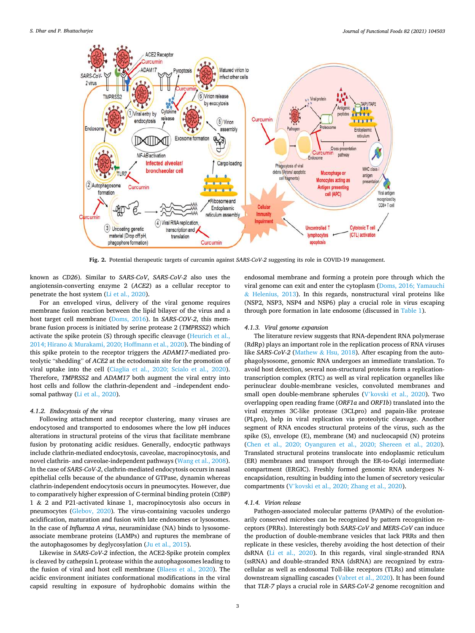<span id="page-2-0"></span>

**Fig. 2.** Potential therapeutic targets of curcumin against *SARS-CoV-2* suggesting its role in COVID-19 management.

known as *CD26*). Similar to *SARS-CoV*, *SARS-CoV-2* also uses the angiotensin-converting enzyme 2 (*ACE2*) as a cellular receptor to penetrate the host system [\(Li et al., 2020\)](#page-9-0).

For an enveloped virus, delivery of the viral genome requires membrane fusion reaction between the lipid bilayer of the virus and a host target cell membrane ([Doms, 2016](#page-9-0)). In *SARS-COV-2*, this membrane fusion process is initiated by serine protease 2 (*TMPRSS2*) which activate the spike protein (S) through specific cleavage [\(Heurich et al.,](#page-9-0)  2014; Hirano & [Murakami, 2020; Hoffmann et al., 2020](#page-9-0)). The binding of this spike protein to the receptor triggers the *ADAM17*-mediated proteolytic "shedding" of *ACE2* at the ectodomain site for the promotion of viral uptake into the cell ([Ciaglia et al., 2020; Scialo et al., 2020](#page-8-0)). Therefore, *TMPRSS2* and *ADAM17* both augment the viral entry into host cells and follow the clathrin-dependent and –independent endosomal pathway [\(Li et al., 2020\)](#page-9-0).

#### *4.1.2. Endocytosis of the virus*

Following attachment and receptor clustering, many viruses are endocytosed and transported to endosomes where the low pH induces alterations in structural proteins of the virus that facilitate membrane fusion by protonating acidic residues. Generally, endocytic pathways include clathrin-mediated endocytosis, caveolae, macropinocytosis, and novel clathrin- and caveolae-independent pathways [\(Wang et al., 2008](#page-10-0)). In the case of *SARS-CoV-2*, clathrin-mediated endocytosis occurs in nasal epithelial cells because of the abundance of GTPase, dynamin whereas clathrin-independent endocytosis occurs in pneumocytes. However, due to comparatively higher expression of C-terminal binding protein (CtBP) 1 & 2 and P21-activated kinase 1, macropinocytosis also occurs in pneumocytes [\(Glebov, 2020](#page-9-0)). The virus-containing vacuoles undergo acidification, maturation and fusion with late endosomes or lysosomes. In the case of *Influenza A virus*, neuraminidase (NA) binds to lysosomeassociate membrane proteins (LAMPs) and ruptures the membrane of the autophagosomes by deglycosylation ([Ju et al., 2015\)](#page-9-0).

Likewise in *SARS-CoV-2* infection, the ACE2-Spike protein complex is cleaved by cathepsin L protease within the autophagosomes leading to the fusion of viral and host cell membrane [\(Blaess et al., 2020\)](#page-8-0). The acidic environment initiates conformational modifications in the viral capsid resulting in exposure of hydrophobic domains within the

endosomal membrane and forming a protein pore through which the viral genome can exit and enter the cytoplasm ([Doms, 2016; Yamauchi](#page-9-0)   $&$  [Helenius, 2013\)](#page-9-0). In this regards, nonstructural viral proteins like (NSP2, NSP3, NSP4 and NSP6) play a crucial role in virus escaping through pore formation in late endosome (discussed in [Table 1](#page-3-0)).

## *4.1.3. Viral genome expansion*

The literature review suggests that RNA-dependent RNA polymerase (RdRp) plays an important role in the replication process of RNA viruses like *SARS-CoV-2* (Mathew & [Hsu, 2018\)](#page-9-0). After escaping from the autophagolysosome, genomic RNA undergoes an immediate translation. To avoid host detection, several non-structural proteins form a replicationtranscription complex (RTC) as well as viral replication organelles like perinuclear double-membrane vesicles, convoluted membranes and small open double-membrane spherules (V'[kovski et al., 2020\)](#page-10-0). Two overlapping open reading frame (*ORF1a* and *ORF1b*) translated into the viral enzymes 3C-like protease (3CLpro) and papain-like protease (PLpro), help in viral replication via proteolytic cleavage. Another segment of RNA encodes structural proteins of the virus, such as the spike (S), envelope (E), membrane (M) and nucleocapsid (N) proteins ([Chen et al., 2020; Oyanguren et al., 2020; Shereen et al., 2020](#page-8-0)). Translated structural proteins translocate into endoplasmic reticulum (ER) membranes and transport through the ER-to-Golgi intermediate compartment (ERGIC). Freshly formed genomic RNA undergoes Nencapsidation, resulting in budding into the lumen of secretory vesicular compartments (V'[kovski et al., 2020; Zhang et al., 2020\)](#page-10-0).

#### *4.1.4. Virion release*

Pathogen-associated molecular patterns (PAMPs) of the evolutionarily conserved microbes can be recognized by pattern recognition receptors (PRRs). Interestingly both *SARS-CoV* and *MERS-CoV* can induce the production of double-membrane vesicles that lack PRRs and then replicate in these vesicles, thereby avoiding the host detection of their dsRNA ([Li et al., 2020\)](#page-9-0). In this regards, viral single-stranded RNA (ssRNA) and double-stranded RNA (dsRNA) are recognized by extracellular as well as endosomal Toll-like receptors (TLRs) and stimulate downstream signalling cascades ([Vabret et al., 2020](#page-10-0)). It has been found that *TLR-7* plays a crucial role in *SARS-CoV-2* genome recognition and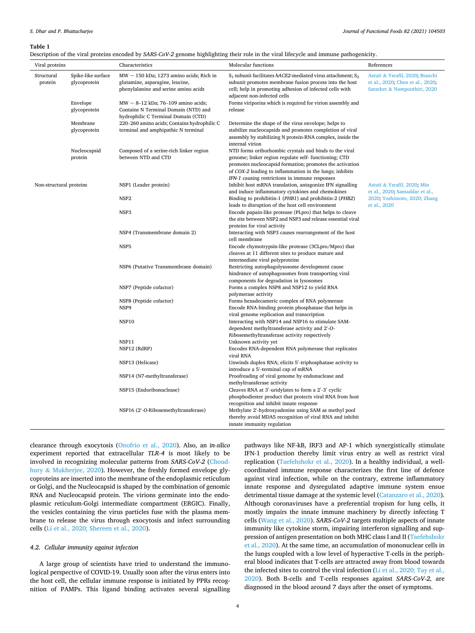#### <span id="page-3-0"></span>**Table 1**

Description of the viral proteins encoded by *SARS-CoV-2* genome highlighting their role in the viral lifecycle and immune pathogenicity.

| Viral proteins          |                                    | Characteristics                                                                                                                                                                                              | Molecular functions                                                                                                                                                                                                                                                                     | References                                                                                                    |
|-------------------------|------------------------------------|--------------------------------------------------------------------------------------------------------------------------------------------------------------------------------------------------------------|-----------------------------------------------------------------------------------------------------------------------------------------------------------------------------------------------------------------------------------------------------------------------------------------|---------------------------------------------------------------------------------------------------------------|
| Structural<br>protein   | Spike-like surface<br>glycoprotein | $MW \sim 150$ kDa; 1273 amino acids; Rich in<br>glutamine, asparagine, leucine,<br>phenylalanine and serine amino acids                                                                                      | $S_1$ subunit facilitates hACE2-mediated virus attachment; $S_2$<br>subunit promotes membrane fusion process into the host<br>cell; help in promoting adhesion of infected cells with<br>adjacent non-infected cells                                                                    | Astuti & Ysrafil, 2020; Bianchi<br>et al., 2020; Chen et al., 2020;<br>Satarker & Nampoothiri, 2020           |
|                         | Envelope<br>glycoprotein           | MW $\sim$ 8–12 kDa; 76–109 amino acids;<br>Contains N Terminal Domain (NTD) and<br>hydrophilic C Terminal Domain (CTD)<br>220-260 amino acids; Contains hydrophilic C<br>terminal and amphipathic N terminal | Forms viriporins which is required for virion assembly and<br>release                                                                                                                                                                                                                   |                                                                                                               |
|                         | Membrane<br>glycoprotein           |                                                                                                                                                                                                              | Determine the shape of the virus envelope; helps to<br>stabilize nucleocapsids and promotes completion of viral<br>assembly by stabilizing N protein-RNA complex, inside the<br>internal virion                                                                                         |                                                                                                               |
|                         | Nucleocapsid<br>protein            | Composed of a serine-rich linker region<br>between NTD and CTD                                                                                                                                               | NTD forms orthorhombic crystals and binds to the viral<br>genome; linker region regulate self-functioning; CTD<br>promotes nucleocapsid formation; promotes the activation<br>of COX-2 leading to inflammation in the lungs; inhibits<br>IFN-1 causing restrictions in immune responses |                                                                                                               |
| Non-structural proteins |                                    | NSP1 (Leader protein)<br>NSP <sub>2</sub>                                                                                                                                                                    | Inhibit host mRNA translation, antagonize IFN signalling<br>and induce inflammatory cytokines and chemokines<br>Binding to prohibitin-1 (PHB1) and prohibitin-2 (PHB2)                                                                                                                  | Astuti & Ysrafil, 2020; Min<br>et al., 2020; Samaddar et al.,<br>2020; Yoshimoto, 2020; Zhang<br>et al., 2020 |
|                         |                                    | NSP <sub>3</sub>                                                                                                                                                                                             | leads to disruption of the host cell environment<br>Encode papain-like protease (PLpro) that helps to cleave<br>the site between NSP2 and NSP3 and release essential viral                                                                                                              |                                                                                                               |
|                         |                                    | NSP4 (Transmembrane domain 2)                                                                                                                                                                                | proteins for viral activity<br>Interacting with NSP3 causes rearrangement of the host<br>cell membrane                                                                                                                                                                                  |                                                                                                               |
|                         |                                    | NSP <sub>5</sub>                                                                                                                                                                                             | Encode chymotrypsin-like protease (3CLpro/Mpro) that<br>cleaves at 11 different sites to produce mature and<br>intermediate viral polyproteins                                                                                                                                          |                                                                                                               |
|                         |                                    | NSP6 (Putative Transmembrane domain)                                                                                                                                                                         | Restricting autophagolysosome development cause<br>hindrance of autophagosomes from transporting viral<br>components for degradation in lysosomes                                                                                                                                       |                                                                                                               |
|                         |                                    | NSP7 (Peptide cofactor)                                                                                                                                                                                      | Forms a complex NSP8 and NSP12 to yield RNA<br>polymerase activity                                                                                                                                                                                                                      |                                                                                                               |
|                         |                                    | NSP8 (Peptide cofactor)<br>NSP9                                                                                                                                                                              | Forms hexadecameric complex of RNA polymerase<br>Encode RNA-binding protein phosphatase that helps in<br>viral genome replication and transcription                                                                                                                                     |                                                                                                               |
|                         |                                    | NSP10                                                                                                                                                                                                        | Interacting with NSP14 and NSP16 to stimulate SAM-<br>dependent methyltransferase activity and 2'-O-<br>Ribosemethyltransferase activity respectively                                                                                                                                   |                                                                                                               |
|                         |                                    | NSP11<br>NSP12 (RdRP)                                                                                                                                                                                        | Unknown activity yet<br>Encodes RNA-dependent RNA polymerase that replicates<br>viral RNA                                                                                                                                                                                               |                                                                                                               |
|                         |                                    | NSP13 (Helicase)                                                                                                                                                                                             | Unwinds duplex RNA; elicits 5'-triphosphatase activity to<br>introduce a 5'-terminal cap of mRNA                                                                                                                                                                                        |                                                                                                               |
|                         |                                    | NSP14 (N7-methyltransferase)                                                                                                                                                                                 | Proofreading of viral genome by endonuclease and<br>methyltransferase activity                                                                                                                                                                                                          |                                                                                                               |
|                         |                                    | NSP15 (Endoribonuclease)                                                                                                                                                                                     | Cleaves RNA at 3'-uridylates to form a 2'-3' cyclic<br>phosphodiester product that protects viral RNA from host                                                                                                                                                                         |                                                                                                               |
|                         |                                    | NSP16 (2'-O-Ribosemethyltransferase)                                                                                                                                                                         | recognition and inhibit innate response<br>Methylate 2'-hydroxyadenine using SAM as methyl pool<br>thereby avoid MDA5 recognition of viral RNA and inhibit<br>innate immunity regulation                                                                                                |                                                                                                               |

clearance through exocytosis [\(Onofrio et al., 2020](#page-10-0)). Also, an *in-silico*  experiment reported that extracellular *TLR-4* is most likely to be involved in recognizing molecular patterns from *SARS-CoV-2* [\(Choud](#page-8-0)hury & [Mukherjee, 2020\)](#page-8-0). However, the freshly formed envelope glycoproteins are inserted into the membrane of the endoplasmic reticulum or Golgi, and the Nucleocapsid is shaped by the combination of genomic RNA and Nucleocapsid protein. The virions germinate into the endoplasmic reticulum-Golgi intermediate compartment (ERGIC). Finally, the vesicles containing the virus particles fuse with the plasma membrane to release the virus through exocytosis and infect surrounding cells ([Li et al., 2020; Shereen et al., 2020](#page-9-0)).

#### *4.2. Cellular immunity against infection*

A large group of scientists have tried to understand the immunological perspective of COVID-19. Usually soon after the virus enters into the host cell, the cellular immune response is initiated by PPRs recognition of PAMPs. This ligand binding activates several signalling pathways like NF-kB, IRF3 and AP-1 which synergistically stimulate IFN-1 production thereby limit virus entry as well as restrict viral replication [\(Taefehshokr et al., 2020\)](#page-10-0). In a healthy individual, a wellcoordinated immune response characterizes the first line of defence against viral infection, while on the contrary, extreme inflammatory innate response and dysregulated adaptive immune system ensue detrimental tissue damage at the systemic level ([Catanzaro et al., 2020](#page-8-0)). Although coronaviruses have a preferential tropism for lung cells, it mostly impairs the innate immune machinery by directly infecting T cells [\(Wang et al., 2020](#page-10-0)). *SARS-CoV-2* targets multiple aspects of innate immunity like cytokine storm, impairing interferon signalling and suppression of antigen presentation on both MHC class I and II [\(Taefehshokr](#page-10-0)  [et al., 2020\)](#page-10-0). At the same time, an accumulation of mononuclear cells in the lungs coupled with a low level of hyperactive T-cells in the peripheral blood indicates that T-cells are attracted away from blood towards the infected sites to control the viral infection ([Li et al., 2020; Tay et al.,](#page-9-0)  [2020\)](#page-9-0). Both B-cells and T-cells responses against *SARS-CoV-2,* are diagnosed in the blood around 7 days after the onset of symptoms.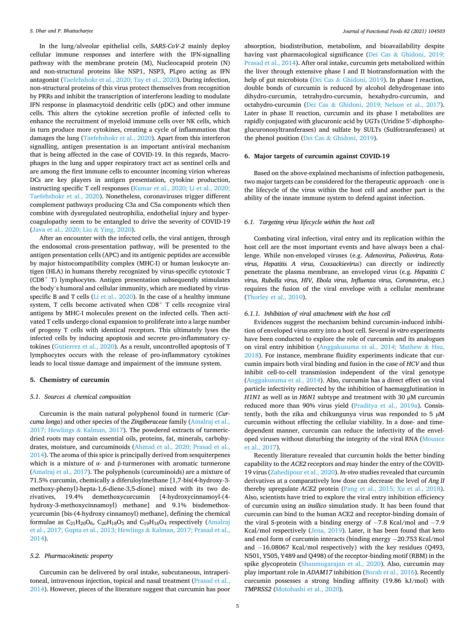In the lung/alveolar epithelial cells, *SARS-CoV-2* mainly deploy cellular immune responses and interfere with the IFN-signalling pathway with the membrane protein (M), Nucleocapsid protein (N) and non-structural proteins like NSP1, NSP3, PLpro acting as IFN antagonist [\(Taefehshokr et al., 2020; Tay et al., 2020\)](#page-10-0). During infection, non-structural proteins of this virus protect themselves from recognition by PRRs and inhibit the transcription of interferons leading to modulate IFN response in plasmacytoid dendritic cells (pDC) and other immune cells. This alters the cytokine secretion profile of infected cells to enhance the recruitment of myeloid immune cells over NK cells, which in turn produce more cytokines, creating a cycle of inflammation that damages the lung ([Taefehshokr et al., 2020](#page-10-0)). Apart from this interferon signalling, antigen presentation is an important antiviral mechanism that is being affected in the case of COVID-19. In this regards, Macrophages in the lung and upper respiratory tract act as sentinel cells and are among the first immune cells to encounter incoming virion whereas DCs are key players in antigen presentation, cytokine production, instructing specific T cell responses [\(Kumar et al., 2020; Li et al., 2020;](#page-9-0)  [Taefehshokr et al., 2020\)](#page-9-0). Nonetheless, coronaviruses trigger different complement pathways producing C3a and C5a components which then combine with dysregulated neutrophilia, endothelial injury and hypercoagulopathy seem to be entangled to drive the severity of COVID-19 ([Java et al., 2020; Liu](#page-9-0) & Ying, 2020).

After an encounter with the infected cells, the viral antigen, through the endosomal cross-presentation pathway, will be presented to the antigen presentation cells (APC) and its antigenic peptides are accessible by major histocompatibility complex (MHC-I) or human leukocyte antigen (HLA) in humans thereby recognized by virus-specific cytotoxic T  $(CDS<sup>+</sup> T)$  lymphocytes. Antigen presentation subsequently stimulates the body's humoral and cellular immunity, which are mediated by virusspecific B and T cells [\(Li et al., 2020\)](#page-9-0). In the case of a healthy immune system, T cells become activated when  $CD8<sup>+</sup>$  T cells recognize viral antigens by MHC-I molecules present on the infected cells. Then activated T cells undergo clonal expansion to proliferate into a large number of progeny T cells with identical receptors. This ultimately lyses the infected cells by inducing apoptosis and secrete pro-inflammatory cytokines [\(Gutierrez et al., 2020](#page-9-0)). As a result, uncontrolled apoptosis of T lymphocytes occurs with the release of pro-inflammatory cytokines leads to local tissue damage and impairment of the immune system.

#### **5. Chemistry of curcumin**

#### *5.1. Sources & chemical composition*

Curcumin is the main natural polyphenol found in turmeric (*Curcuma longa*) and other species of the *Zingiberaceae* family [\(Amalraj et al.,](#page-8-0)  [2017; Hewlings](#page-8-0) & Kalman, 2017). The powdered extracts of turmericdried roots may contain essential oils, proteins, fat, minerals, carbohydrates, moisture, and curcuminoids ([Ahmad et al., 2020; Prasad et al.,](#page-8-0)  [2014\)](#page-8-0). The aroma of this spice is principally derived from sesquiterpenes which is a mixture of α- and β-turmerones with aromatic turmerone ([Amalraj et al., 2017](#page-8-0)). The polyphenols (curcuminoids) are a mixture of 71.5% curcumin, chemically a diferuloylmethane [1,7-bis(4-hydroxy-3 methoxy-phenyl)-hepta-1,6-diene-3,5-dione] mixed with its two derivatives, 19.4% demethoxycurcumin [4-hydroxycinnamoyl-(4 hydroxy-3-methoxycinnamoyl) methane] and 9.1% bisdemethoxycurcumin [bis-(4-hydroxy cinnamoyl) methane], defining the chemical formulae as  $C_{21}H_{20}O_6$ ,  $C_{20}H_{18}O_5$  and  $C_{19}H_{16}O_4$  respectively (Amalraj [et al., 2017; Gupta et al., 2013; Hewlings](#page-8-0) & Kalman, 2017; Prasad et al., [2014\)](#page-8-0).

## *5.2. Pharmacokinetic property*

Curcumin can be delivered by oral intake, subcutaneous, intraperitoneal, intravenous injection, topical and nasal treatment [\(Prasad et al.,](#page-10-0)  [2014\)](#page-10-0). However, pieces of the literature suggest that curcumin has poor absorption, biodistribution, metabolism, and bioavailability despite having vast pharmacological significance (Dei Cas & [Ghidoni, 2019;](#page-9-0)  [Prasad et al., 2014\)](#page-9-0). After oral intake, curcumin gets metabolized within the liver through extensive phase I and II biotransformation with the help of gut microbiota (Dei Cas & [Ghidoni, 2019](#page-9-0)). In phase I reaction, double bonds of curcumin is reduced by alcohol dehydrogenase into dihydro-curcumin, tetrahydro-curcumin, hexahydro-curcumin, and octahydro-curcumin (Dei Cas & [Ghidoni, 2019; Nelson et al., 2017](#page-9-0)). Later in phase II reaction, curcumin and its phase I metabolites are rapidly conjugated with glucuronic acid by UGTs (Uridine 5′ -diphosphoglucuronosyltransferases) and sulfate by SULTs (Sulfotransferases) at the phenol position (Dei Cas & [Ghidoni, 2019\)](#page-9-0).

## **6. Major targets of curcumin against COVID-19**

Based on the above-explained mechanisms of infection pathogenesis, two major targets can be considered for the therapeutic approach - one is the lifecycle of the virus within the host cell and another part is the ability of the innate immune system to defend against infection.

## *6.1. Targeting virus lifecycle within the host cell*

Combating viral infection, viral entry and its replication within the host cell are the most important events and have always been a challenge. While non-enveloped viruses (e.g. *Adenovirus, Poliovirus, Rotavirus, Hepatitis A virus, Coxsackievirus*) can directly or indirectly penetrate the plasma membrane, an enveloped virus (e.g. *Hepatitis C virus, Rubella virus, HIV, Ebola virus, Influenza virus, Coronavirus*, etc.) requires the fusion of the viral envelope with a cellular membrane ([Thorley et al., 2010\)](#page-10-0).

#### *6.1.1. Inhibition of viral attachment with the host cell*

Evidences suggest the mechanism behind curcumin-induced inhibition of enveloped virus entry into a host cell. Several *in vitro* experiments have been conducted to explore the role of curcumin and its analogues on viral entry inhibition ([Anggakusuma et al., 2014; Mathew](#page-8-0) & Hsu, [2018\)](#page-8-0). For instance, membrane fluidity experiments indicate that curcumin impairs both viral binding and fusion in the case of *HCV* and thus inhibit cell-to-cell transmission independent of the viral genotype ([Anggakusuma et al., 2014\)](#page-8-0). Also, curcumin has a direct effect on viral particle infectivity redirected by the inhibition of haemagglutination in *H1N1* as well as in *H6N1* subtype and treatment with 30 μM curcumin reduced more than 90% virus yield ([Praditya et al., 2019a\)](#page-10-0). Consistently, both the zika and chikungunya virus was responded to 5  $\mu$ M curcumin without effecting the cellular viability. In a dose- and timedependent manner, curcumin can reduce the infectivity of the enveloped viruses without disturbing the integrity of the viral RNA ([Mounce](#page-10-0)  [et al., 2017\)](#page-10-0).

Recently literature revealed that curcumin holds the better binding capability to the *ACE2* receptors and may hinder the entry of the COVID-19 virus [\(Zahedipour et al., 2020\)](#page-11-0). *In-vivo* studies revealed that curcumin derivatives at a comparatively low dose can decrease the level of *Ang II*  thereby upregulate *ACE2* protein [\(Pang et al., 2015; Xu et al., 2018](#page-10-0)). Also, scientists have tried to explore the viral entry inhibition efficiency of curcumin using an *insilico* simulation study. It has been found that curcumin can bind to the human ACE2 and receptor-binding domain of the viral S-protein with a binding energy of −7.8 Kcal/mol and −7.9 Kcal/mol respectively ([Jena, 2019](#page-9-0)). Later, it has been found that keto and enol form of curcumin interacts (binding energy −20.753 Kcal/mol and −16.08067 Kcal/mol respectively) with the key residues (Q493, N501, Y505, Y489 and Q498) of the receptor-binding motif (RBM) in the spike glycoprotein [\(Shanmugarajan et al., 2020\)](#page-10-0). Also, curcumin may play important role in *ADAM17* inhibition [\(Borah et al., 2016](#page-8-0)). Recently curcumin possesses a strong binding affinity (19.86 kJ/mol) with *TMPRSS2* ([Motohashi et al., 2020\)](#page-9-0)*.*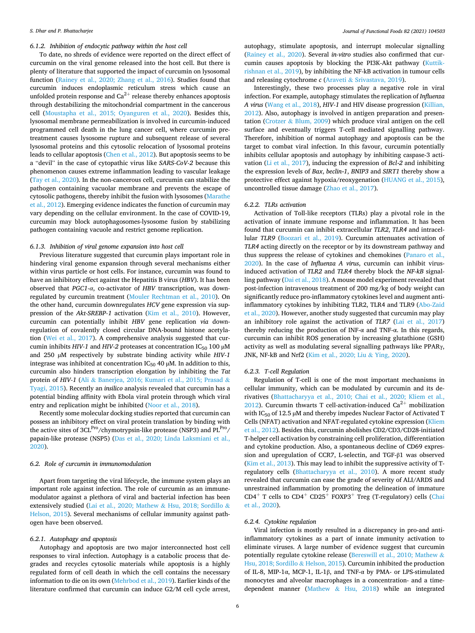## *6.1.2. Inhibition of endocytic pathway within the host cell*

To date, no shreds of evidence were reported on the direct effect of curcumin on the viral genome released into the host cell. But there is plenty of literature that supported the impact of curcumin on lysosomal function [\(Rainey et al., 2020; Zhang et al., 2016](#page-10-0)). Studies found that curcumin induces endoplasmic reticulum stress which cause an unfolded protein response and  $Ca^{2+}$  release thereby enhances apoptosis through destabilizing the mitochondrial compartment in the cancerous cell ([Moustapha et al., 2015; Oyanguren et al., 2020\)](#page-10-0). Besides this, lysosomal membrane permeabilization is involved in curcumin-induced programmed cell death in the lung cancer cell, where curcumin pretreatment causes lysosome rupture and subsequent release of several lysosomal proteins and this cytosolic relocation of lysosomal proteins leads to cellular apoptosis ([Chen et al., 2012](#page-8-0)). But apoptosis seems to be a "devil" in the case of cytopathic virus like *SARS-CoV-2* because this phenomenon causes extreme inflammation leading to vascular leakage ([Tay et al., 2020\)](#page-10-0). In the non-cancerous cell, curcumin can stabilize the pathogen containing vacuolar membrane and prevents the escape of cytosolic pathogens, thereby inhibit the fusion with lysosomes [\(Marathe](#page-9-0)  [et al., 2012\)](#page-9-0). Emerging evidence indicates the function of curcumin may vary depending on the cellular environment. In the case of COVID-19, curcumin may block autophagosomes-lysosome fusion by stabilizing pathogen containing vacuole and restrict genome replication.

#### *6.1.3. Inhibition of viral genome expansion into host cell*

Previous literature suggested that curcumin plays important role in hindering viral genome expansion through several mechanisms either within virus particle or host cells. For instance, curcumin was found to have an inhibitory effect against the Hepatitis B virus (*HBV*). It has been observed that *PGC1-α*, co-activator of *HBV* transcription, was downregulated by curcumin treatment [\(Mouler Rechtman et al., 2010](#page-9-0)). On the other hand, curcumin downregulates *HCV* gene expression via suppression of the *Akt-SREBP-1* activation [\(Kim et al., 2010\)](#page-9-0). However, curcumin can potentially inhibit *HBV* gene replication *via* downregulation of covalently closed circular DNA-bound histone acetylation ([Wei et al., 2017](#page-10-0)). A comprehensive analysis suggested that curcumin inhibits *HIV-1* and *HIV-2* proteases at concentration IC<sub>50</sub> 100 μM and 250 µM respectively by substrate binding activity while *HIV-1*  integrase was inhibited at concentration  $IC_{50}$  40  $µ$ M. In addition to this, curcumin also hinders transcription elongation by inhibiting the *Tat*  protein of *HIV-1* (Ali & [Banerjea, 2016; Kumari et al., 2015; Prasad](#page-8-0) & [Tyagi, 2015\)](#page-8-0). Recently an *insilico* analysis revealed that curcumin has a potential binding affinity with Ebola viral protein through which viral entry and replication might be inhibited [\(Noor et al., 2018\)](#page-10-0).

Recently some molecular docking studies reported that curcumin can possess an inhibitory effect on viral protein translation by binding with the active sites of 3CL<sup>Pro</sup>/chymotrypsin-like protease (NSP3) and PL<sup>Pro</sup>/ papain-like protease (NSP5) ([Das et al., 2020; Linda Laksmiani et al.,](#page-8-0)  [2020\)](#page-8-0).

## *6.2. Role of curcumin in immunomodulation*

Apart from targeting the viral lifecycle, the immune system plays an important role against infection. The role of curcumin as an immunemodulator against a plethora of viral and bacterial infection has been extensively studied [\(Lai et al., 2020; Mathew](#page-9-0) & Hsu, 2018; Sordillo & [Helson, 2015\)](#page-9-0). Several mechanisms of cellular immunity against pathogen have been observed.

## *6.2.1. Autophagy and apoptosis*

Autophagy and apoptosis are two major interconnected host cell responses to viral infection. Autophagy is a catabolic process that degrades and recycles cytosolic materials while apoptosis is a highly regulated form of cell death in which the cell contains the necessary information to die on its own [\(Mehrbod et al., 2019\)](#page-9-0). Earlier kinds of the literature confirmed that curcumin can induce G2/M cell cycle arrest,

autophagy, stimulate apoptosis, and interrupt molecular signalling ([Rainey et al., 2020\)](#page-10-0). Several *in-vitro* studies also confirmed that curcumin causes apoptosis by blocking the PI3K-Akt pathway [\(Kuttik](#page-9-0)[rishnan et al., 2019](#page-9-0)), by inhibiting the NF-kB activation in tumour cells and releasing cytochrome *c* (Araveti & [Srivastava, 2019](#page-8-0)).

Interestingly, these two processes play a negative role in viral infection. For example, autophagy stimulates the replication of *Influenza A virus* [\(Wang et al., 2018\)](#page-10-0), *HIV-1* and HIV disease progression [\(Killian,](#page-9-0)  [2012\)](#page-9-0). Also, autophagy is involved in antigen preparation and presentation (Crotzer & [Blum, 2009](#page-8-0)) which produce viral antigen on the cell surface and eventually triggers T-cell mediated signalling pathway. Therefore, inhibition of normal autophagy and apoptosis can be the target to combat viral infection. In this favour, curcumin potentially inhibits cellular apoptosis and autophagy by inhibiting caspase-3 activation [\(Li et al., 2017\)](#page-9-0), inducing the expression of *Bcl*‑*2* and inhibiting the expression levels of *Bax*, *beclin*‑*1*, *BNIP3* and *SIRT1* thereby show a protective effect against hypoxia/reoxygenation ([HUANG et al., 2015](#page-9-0)), uncontrolled tissue damage [\(Zhao et al., 2017](#page-11-0)).

#### *6.2.2. TLRs activation*

Activation of Toll-like receptors (TLRs) play a pivotal role in the activation of innate immune response and inflammation. It has been found that curcumin can inhibit extracellular *TLR2*, *TLR4* and intracellular *TLR9* ([Boozari et al., 2019\)](#page-8-0). Curcumin attenuates activation of *TLR4* acting directly on the receptor or by its downstream pathway and thus suppress the release of cytokines and chemokines [\(Panaro et al.,](#page-10-0)  [2020\)](#page-10-0). In the case of *Influenza A virus*, curcumin can inhibit virusinduced activation of *TLR2* and *TLR4* thereby block the *NF-kB* signalling pathway ([Dai et al., 2018\)](#page-8-0). A mouse model experiment revealed that post-infection intravenous treatment of 200 mg/kg of body weight can significantly reduce pro-inflammatory cytokines level and augment antiinflammatory cytokines by inhibiting TLR2, TLR4 and TLR9 [\(Abo-Zaid](#page-8-0)  [et al., 2020\)](#page-8-0). However, another study suggested that curcumin may play an inhibitory role against the activation of *TLR7* [\(Lai et al., 2017\)](#page-9-0) thereby reducing the production of INF- $\alpha$  and TNF- $\alpha$ . In this regards, curcumin can inhibit ROS generation by increasing glutathione (GSH) activity as well as modulating several signalling pathways like PPARγ, JNK, NF-kB and Nrf2 ([Kim et al., 2020; Liu](#page-9-0) & Ying, 2020).

#### *6.2.3. T-cell Regulation*

Regulation of T-cell is one of the most important mechanisms in cellular immunity, which can be modulated by curcumin and its derivatives [\(Bhattacharyya et al., 2010; Chai et al., 2020; Kliem et al.,](#page-8-0)  [2012\)](#page-8-0). Curcumin thwarts T cell-activation-induced  $Ca^{2+}$  mobilization with IC<sub>50</sub> of 12.5 µM and thereby impedes Nuclear Factor of Activated T Cells (NFAT) activation and NFAT-regulated cytokine expression [\(Kliem](#page-9-0)  [et al., 2012](#page-9-0)). Besides this, curcumin abolishes CD2/CD3/CD28-initiated T-helper cell activation by constraining cell proliferation, differentiation and cytokine production. Also, a spontaneous decline of CD69 expression and upregulation of CCR7, L-selectin, and TGF-β1 was observed ([Kim et al., 2013](#page-9-0)). This may lead to inhibit the suppressive activity of Tregulatory cells ([Bhattacharyya et al., 2010](#page-8-0)). A more recent study revealed that curcumin can ease the grade of severity of ALI/ARDS and unrestrained inflammation by promoting the delineation of immature CD4<sup>+</sup> T cells to CD4<sup>+</sup> CD25<sup>+</sup> FOXP3<sup>+</sup> Treg (T-regulatory) cells ([Chai](#page-8-0)  [et al., 2020\)](#page-8-0).

#### *6.2.4. Cytokine regulation*

Viral infection is mostly resulted in a discrepancy in pro-and antiinflammatory cytokines as a part of innate immunity activation to eliminate viruses. A large number of evidence suggest that curcumin potentially regulate cytokine release ([Bereswill et al., 2010; Mathew](#page-8-0) & [Hsu, 2018; Sordillo](#page-8-0) & Helson, 2015). Curcumin inhibited the production of IL-8, MIP-1α, MCP-1, IL-1β, and TNF-α by PMA- or LPS-stimulated monocytes and alveolar macrophages in a concentration- and a timedependent manner (Mathew & [Hsu, 2018](#page-9-0)) while an integrated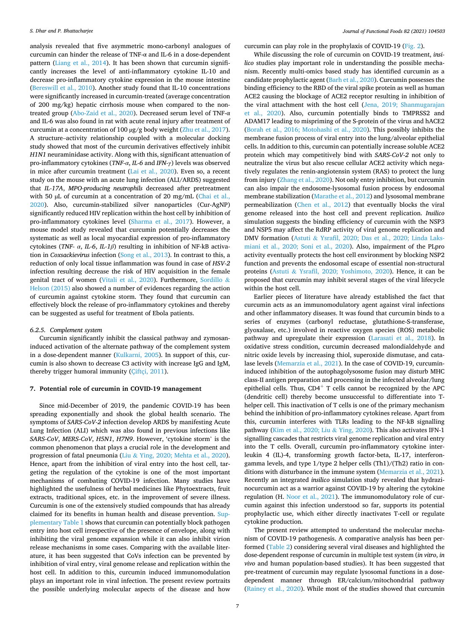analysis revealed that five asymmetric mono-carbonyl analogues of curcumin can hinder the release of TNF-α and IL-6 in a dose-dependent pattern [\(Liang et al., 2014](#page-9-0)). It has been shown that curcumin significantly increases the level of anti-inflammatory cytokine IL-10 and decrease pro-inflammatory cytokine expression in the mouse intestine ([Bereswill et al., 2010\)](#page-8-0). Another study found that IL-10 concentrations were significantly increased in curcumin-treated (average concentration of 200 mg/kg) hepatic cirrhosis mouse when compared to the nontreated group ([Abo-Zaid et al., 2020](#page-8-0)). Decreased serum level of TNF-α and IL-6 was also found in rat with acute renal injury after treatment of curcumin at a concentration of 100 µg/g body weight ([Zhu et al., 2017](#page-11-0)). A structure–activity relationship coupled with a molecular docking study showed that most of the curcumin derivatives effectively inhibit *H1N1* neuraminidase activity. Along with this, significant attenuation of pro-inflammatory cytokines (*TNF-α*, *IL-6* and *IFN-γ*) levels was observed in mice after curcumin treatment [\(Lai et al., 2020\)](#page-9-0). Even so, a recent study on the mouse with an acute lung infection (ALI/ARDS) suggested that *IL-17A*, *MPO-producing neutrophils* decreased after pretreatment with 50 µL of curcumin at a concentration of 20 mg/mL (Chai et al., [2020\)](#page-8-0). Also, curcumin-stabilized silver nanoparticles (Cur-AgNP) significantly reduced HIV replication within the host cell by inhibition of pro-inflammatory cytokines level [\(Sharma et al., 2017\)](#page-10-0). However, a mouse model study revealed that curcumin potentially decreases the systematic as well as local myocardial expression of pro-inflammatory cytokines (*TNF- α*, *IL-6*, *IL-1β*) resulting in inhibition of NF-kB activation in *Coxsackievirus* infection [\(Song et al., 2013\)](#page-10-0). In contrast to this, a reduction of only local tissue inflammation was found in case of *HSV-2*  infection resulting decrease the risk of HIV acquisition in the female genital tract of women ([Vitali et al., 2020\)](#page-10-0). Furthermore, [Sordillo](#page-10-0) & [Helson \(2015\)](#page-10-0) also showed a number of evidences regarding the action of curcumin against cytokine storm. They found that curcumin can effectively block the release of pro-inflammatory cytokines and thereby can be suggested as useful for treatment of Ebola patients.

#### *6.2.5. Complement system*

Curcumin significantly inhibit the classical pathway and zymosaninduced activation of the alternate pathway of the complement system in a dose-dependent manner ([Kulkarni, 2005\)](#page-9-0). In support of this, curcumin is also shown to decrease C3 activity with increase IgG and IgM, thereby trigger humoral immunity ([Çiftçi, 2011](#page-8-0)).

#### **7. Potential role of curcumin in COVID-19 management**

Since mid-December of 2019, the pandemic COVID-19 has been spreading exponentially and shook the global health scenario. The symptoms of *SARS-CoV-2* infection develop ARDS by manifesting Acute Lung Infection (ALI) which was also found in previous infections like *SARS-CoV*, *MERS-CoV*, *H5N1*, *H7N9*. However, 'cytokine storm' is the common phenomenon that plays a crucial role in the development and progression of fatal pneumonia (Liu & [Ying, 2020; Mehta et al., 2020](#page-9-0)). Hence, apart from the inhibition of viral entry into the host cell, targeting the regulation of the cytokine is one of the most important mechanisms of combating COVID-19 infection. Many studies have highlighted the usefulness of herbal medicines like Phytoextracts, fruit extracts, traditional spices, etc. in the improvement of severe illness. Curcumin is one of the extensively studied compounds that has already claimed for its benefits in human health and disease prevention. Supplementary Table 1 shows that curcumin can potentially block pathogen entry into host cell irrespective of the presence of envelope, along with inhibiting the viral genome expansion while it can also inhibit virion release mechanisms in some cases. Comparing with the available literature, it has been suggested that CoVs infection can be prevented by inhibition of viral entry, viral genome release and replication within the host cell. In addition to this, curcumin induced immunomodulation plays an important role in viral infection. The present review portraits the possible underlying molecular aspects of the disease and how

curcumin can play role in the prophylaxis of COVID-19 ([Fig. 2\)](#page-2-0).

While discussing the role of curcumin on COVID-19 treatment, *insilico* studies play important role in understanding the possible mechanism. Recently multi-omics based study has identified curcumin as a candidate prophylactic agent [\(Barh et al., 2020](#page-8-0)). Curcumin possesses the binding efficiency to the RBD of the viral spike protein as well as human ACE2 causing the blockage of ACE2 receptor resulting in inhibition of the viral attachment with the host cell ([Jena, 2019; Shanmugarajan](#page-9-0)  [et al., 2020\)](#page-9-0). Also, curcumin potentially binds to TMPRSS2 and ADAM17 leading to mispriming of the S-protein of the virus and hACE2 ([Borah et al., 2016; Motohashi et al., 2020](#page-8-0)). This possibly inhibits the membrane fusion process of viral entry into the lung/alveolar epithelial cells. In addition to this, curcumin can potentially increase soluble ACE2 protein which may competitively bind with *SARS-CoV-2* not only to neutralize the virus but also rescue cellular ACE2 activity which negatively regulates the renin-angiotensin system (RAS) to protect the lung from injury ([Zhang et al., 2020\)](#page-11-0). Not only entry inhibition, but curcumin can also impair the endosome-lysosomal fusion process by endosomal membrane stabilization ([Marathe et al., 2012](#page-9-0)) and lysosomal membrane permeabilization ([Chen et al., 2012\)](#page-8-0) that eventually blocks the viral genome released into the host cell and prevent replication. *Insilico*  simulation suggests the binding efficiency of curcumin with the NSP3 and NSP5 may affect the RdRP activity of viral genome replication and DMV formation (Astuti & [Ysrafil, 2020; Das et al., 2020; Linda Laks](#page-8-0)[miani et al., 2020; Soni et al., 2020](#page-8-0)). Also, impairment of the PLpro activity eventually protects the host cell environment by blocking NSP2 function and prevents the endosomal escape of essential non-structural proteins (Astuti & [Ysrafil, 2020; Yoshimoto, 2020\)](#page-8-0). Hence, it can be proposed that curcumin may inhibit several stages of the viral lifecycle within the host cell.

Earlier pieces of literature have already established the fact that curcumin acts as an immunomodulatory agent against viral infections and other inflammatory diseases. It was found that curcumin binds to a series of enzymes (carbonyl reductase, glutathione-S-transferase, glyoxalase, etc.) involved in reactive oxygen species (ROS) metabolic pathway and upregulate their expression [\(Larasati et al., 2018](#page-9-0)). In oxidative stress condition, curcumin decreased malondialdehyde and nitric oxide levels by increasing thiol, superoxide dismutase, and catalase levels ([Memarzia et al., 2021\)](#page-9-0). In the case of COVID-19, curcumininduced inhibition of the autophagolysosome fusion may disturb MHC class-II antigen preparation and processing in the infected alveolar/lung epithelial cells. Thus,  $CD4^+$  T cells cannot be recognized by the APC (dendritic cell) thereby become unsuccessful to differentiate into Thelper cell. This inactivation of T cells is one of the primary mechanism behind the inhibition of pro-inflammatory cytokines release. Apart from this, curcumin interferes with TLRs leading to the NF-kB signalling pathway [\(Kim et al., 2020; Liu](#page-9-0) & Ying, 2020). This also activates IFN-1 signalling cascades that restricts viral genome replication and viral entry into the T cells. Overall, curcumin pro-inflammatory cytokine interleukin 4 (IL)-4, transforming growth factor-beta, IL-17, interferongamma levels, and type 1/type 2 helper cells (Th1)/(Th2) ratio in conditions with disturbance in the immune system ([Memarzia et al., 2021](#page-9-0)). Recently an integrated *insilico* simulation study revealed that hydrazinocurcumin act as a warrior against COVID-19 by altering the cytokine regulation (H. [Noor et al., 2021\)](#page-10-0). The immunomodulatory role of curcumin against this infection understood so far, supports its potential prophylactic use, which either directly inactivates T-cell or regulate cytokine production.

The present review attempted to understand the molecular mechanism of COVID-19 pathogenesis. A comparative analysis has been performed [\(Table 2\)](#page-7-0) considering several viral diseases and highlighted the dose-dependent response of curcumin in multiple test system (*in vitro*, *in vivo* and human population-based studies). It has been suggested that pre-treatment of curcumin may regulate lysosomal functions in a dosedependent manner through ER/calcium/mitochondrial pathway ([Rainey et al., 2020](#page-10-0)). While most of the studies showed that curcumin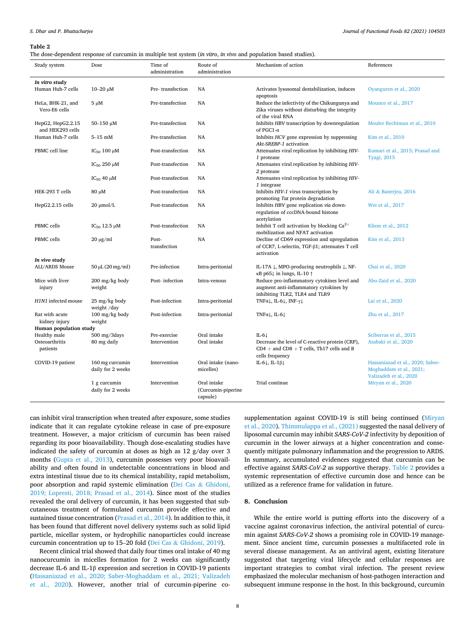#### <span id="page-7-0"></span>**Table 2**

The dose-dependent response of curcumin in multiple test system (*in vitro*, *in vivo* and population based studies).

| Study system                                              | Dose                                             | Time of<br>administration | Route of<br>administration                    | Mechanism of action                                                                                                          | References                                                                            |  |  |  |
|-----------------------------------------------------------|--------------------------------------------------|---------------------------|-----------------------------------------------|------------------------------------------------------------------------------------------------------------------------------|---------------------------------------------------------------------------------------|--|--|--|
| In vitro study                                            |                                                  |                           |                                               |                                                                                                                              |                                                                                       |  |  |  |
| Human Huh-7 cells                                         | $10 - 20 \mu M$                                  | Pre-transfection          | <b>NA</b>                                     | Activates lysosomal destabilization, induces<br>apoptosis                                                                    | Oyanguren et al., 2020                                                                |  |  |  |
| HeLa, BHK-21, and<br>Vero-E6 cells                        | $5 \mu M$                                        | Pre-transfection          | <b>NA</b>                                     | Reduce the infectivity of the Chikungunya and<br>Zika viruses without disturbing the integrity<br>of the viral RNA           | Mounce et al., 2017                                                                   |  |  |  |
| HepG2, HepG2.2.15<br>and HEK293 cells                     | $50 - 150$ µM                                    | Pre-transfection          | <b>NA</b>                                     | Inhibits HBV transcription by downregulation<br>of PGC1- $\alpha$                                                            | Mouler Rechtman et al., 2010                                                          |  |  |  |
| Human Huh-7 cells                                         | $5-15$ mM                                        | Pre-transfection          | NA                                            | Inhibits HCV gene expression by suppressing<br>Akt-SREBP-1 activation                                                        | Kim et al., 2010                                                                      |  |  |  |
| PBMC cell line                                            | $IC_{50}$ 100 $µM$                               | Post-transfection         | <b>NA</b>                                     | Attenuates viral replication by inhibiting HIV-<br>1 protease                                                                | Kumari et al., 2015; Prasad and<br><b>Tyagi, 2015</b>                                 |  |  |  |
|                                                           | $IC_{50}$ 250 $µM$                               | Post-transfection         | <b>NA</b>                                     | Attenuates viral replication by inhibiting HIV-<br>2 protease                                                                |                                                                                       |  |  |  |
|                                                           | IC <sub>50</sub> 40 μM                           | Post-transfection         | <b>NA</b>                                     | Attenuates viral replication by inhibiting HIV-<br>1 integrase                                                               |                                                                                       |  |  |  |
| HEK-293 T cells                                           | 80 μM                                            | Post-transfection         | <b>NA</b>                                     | Inhibits HIV-1 virus transcription by<br>promoting Tat protein degradation                                                   | Ali & Banerjea, 2016                                                                  |  |  |  |
| HepG2.2.15 cells                                          | $20 \mu$ mol/L                                   | Post-transfection         | <b>NA</b>                                     | Inhibits HBV gene replication via down-<br>regulation of cccDNA-bound histone<br>acetylation                                 | Wei et al., 2017                                                                      |  |  |  |
| PBMC cells                                                | $IC_{50}$ 12.5 $\mu$ M                           | Post-transfection         | <b>NA</b>                                     | Inhibit T cell activation by blocking $Ca^{2+}$<br>mobilization and NFAT activation                                          | Kliem et al., 2012                                                                    |  |  |  |
| PBMC cells                                                | $20 \mu g/ml$                                    | Post-<br>transfection     | NA                                            | Decline of CD69 expression and upregulation<br>of CCR7, L-selectin, TGF-β1; attenuates T cell<br>activation                  | Kim et al., 2013                                                                      |  |  |  |
| In vivo study<br>ALI/ARDS Mouse                           | $50 \mu L (20 mg/ml)$                            | Pre-infection             | Intra-peritonial                              | IL-17A $\downarrow$ , MPO-producing neutrophils $\downarrow$ , NF-<br>$\kappa$ B p65 $\downarrow$ in lungs, IL-10 $\uparrow$ | Chai et al., 2020                                                                     |  |  |  |
| Mice with liver<br>injury                                 | $200 \frac{\text{mg}}{\text{kg}}$ body<br>weight | Post-infection            | Intra-venous                                  | Reduce pro-inflammatory cytokines level and<br>augment anti-inflammatory cytokines by<br>inhibiting TLR2, TLR4 and TLR9      | Abo-Zaid et al., 2020                                                                 |  |  |  |
| H <sub>1</sub> N <sub>1</sub> infected mouse              | 25 mg/kg body<br>weight /day                     | Post-infection            | Intra-peritonial                              | TNF $\alpha$ , IL-6, INF- $\gamma$ ,                                                                                         | Lai et al., 2020                                                                      |  |  |  |
| Rat with acute<br>kidney injury<br>Human population study | 100 mg/kg body<br>weight                         | Post-infection            | Intra-peritonial                              | $TNF\alpha\downarrow$ , IL-6 $\downarrow$                                                                                    | Zhu et al., 2017                                                                      |  |  |  |
| Healthy male                                              | $500$ mg/3days                                   | Pre-exercise              | Oral intake                                   | IL-6 $\downarrow$                                                                                                            | Sciberras et al., 2015                                                                |  |  |  |
| Osteoarthritis<br>patients                                | 80 mg daily                                      | Intervention              | Oral intake                                   | Decrease the level of C-reactive protein (CRP),<br>$CD4 + and CD8 + T cells$ , Th17 cells and B<br>cells frequency           | Atabaki et al., 2020                                                                  |  |  |  |
| COVID-19 patient                                          | 160 mg curcumin<br>daily for 2 weeks             | Intervention              | Oral intake (nano-<br>micelles)               | IL-6 $\downarrow$ , IL-1 $\beta\downarrow$                                                                                   | Hassaniazad et al., 2020; Saber-<br>Moghaddam et al., 2021;<br>Valizadeh et al., 2020 |  |  |  |
|                                                           | 1 g curcumin<br>daily for 2 weeks                | Intervention              | Oral intake<br>(Curcumin-piperine<br>capsule) | Trial continue                                                                                                               | Miryan et al., 2020                                                                   |  |  |  |

can inhibit viral transcription when treated after exposure, some studies indicate that it can regulate cytokine release in case of pre-exposure treatment. However, a major criticism of curcumin has been raised regarding its poor bioavailability. Though dose-escalating studies have indicated the safety of curcumin at doses as high as 12 g/day over 3 months [\(Gupta et al., 2013\)](#page-9-0), curcumin possesses very poor bioavailability and often found in undetectable concentrations in blood and extra intestinal tissue due to its chemical instability, rapid metabolism, poor absorption and rapid systemic elimination (Dei Cas & [Ghidoni,](#page-9-0)  [2019; Lopresti, 2018; Prasad et al., 2014](#page-9-0)). Since most of the studies revealed the oral delivery of curcumin, it has been suggested that subcutaneous treatment of formulated curcumin provide effective and sustained tissue concentration [\(Prasad et al., 2014](#page-10-0)). In addition to this, it has been found that different novel delivery systems such as solid lipid particle, micellar system, or hydrophilic nanoparticles could increase curcumin concentration up to 15–20 fold (Dei Cas & [Ghidoni, 2019\)](#page-9-0).

Recent clinical trial showed that daily four times oral intake of 40 mg nanocurcumin in micelles formation for 2 weeks can significantly decrease IL-6 and IL-1β expression and secretion in COVID-19 patients ([Hassaniazad et al., 2020; Saber-Moghaddam et al., 2021; Valizadeh](#page-9-0)  [et al., 2020](#page-9-0)). However, another trial of curcumin-piperine cosupplementation against COVID-19 is still being continued [\(Miryan](#page-9-0)  [et al., 2020\)](#page-9-0). [Thimmulappa et al., \(2021\)](#page-10-0) suggested the nasal delivery of liposomal curcumin may inhibit *SARS-CoV-2* infectivity by deposition of curcumin in the lower airways at a higher concentration and consequently mitigate pulmonary inflammation and the progression to ARDS. In summary, accumulated evidences suggested that curcumin can be effective against *SARS-CoV-2* as supportive therapy. Table 2 provides a systemic representation of effective curcumin dose and hence can be utilized as a reference frame for validation in future.

## **8. Conclusion**

While the entire world is putting efforts into the discovery of a vaccine against coronavirus infection, the antiviral potential of curcumin against *SARS-CoV-2* shows a promising role in COVID-19 management. Since ancient time, curcumin possesses a multifaceted role in several disease management. As an antiviral agent, existing literature suggested that targeting viral lifecycle and cellular responses are important strategies to combat viral infection. The present review emphasized the molecular mechanism of host-pathogen interaction and subsequent immune response in the host. In this background, curcumin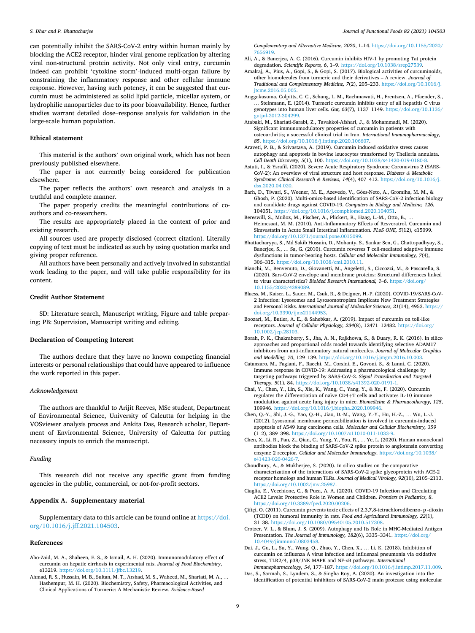<span id="page-8-0"></span>can potentially inhibit the SARS-CoV-2 entry within human mainly by blocking the ACE2 receptor, hinder viral genome replication by altering viral non-structural protein activity. Not only viral entry, curcumin indeed can prohibit 'cytokine storm'-induced multi-organ failure by constraining the inflammatory response and other cellular immune response. However, having such potency, it can be suggested that curcumin must be administered as solid lipid particle, micellar system, or hydrophilic nanoparticles due to its poor bioavailability. Hence, further studies warrant detailed dose–response analysis for validation in the large-scale human population.

#### **Ethical statement**

This material is the authors' own original work, which has not been previously published elsewhere.

The paper is not currently being considered for publication elsewhere.

The paper reflects the authors' own research and analysis in a truthful and complete manner.

The paper properly credits the meaningful contributions of coauthors and co-researchers.

The results are appropriately placed in the context of prior and existing research.

All sources used are properly disclosed (correct citation). Literally copying of text must be indicated as such by using quotation marks and giving proper reference.

All authors have been personally and actively involved in substantial work leading to the paper, and will take public responsibility for its content.

#### **Credit Author Statement**

SD: Literature search, Manuscript writing, Figure and table preparing; PB: Supervision, Manuscript writing and editing.

#### **Declaration of Competing Interest**

The authors declare that they have no known competing financial interests or personal relationships that could have appeared to influence the work reported in this paper.

#### *Acknowledgement*

The authors are thankful to Arijit Reeves, MSc student, Department of Environmental Science, University of Calcutta for helping in the VOSviewer analysis process and Ankita Das, Research scholar, Department of Environmental Science, University of Calcutta for putting necessary inputs to enrich the manuscript.

#### *Funding*

This research did not receive any specific grant from funding agencies in the public, commercial, or not-for-profit sectors.

## **Appendix A. Supplementary material**

Supplementary data to this article can be found online at [https://doi.](https://doi.org/10.1016/j.jff.2021.104503)  [org/10.1016/j.jff.2021.104503.](https://doi.org/10.1016/j.jff.2021.104503)

#### **References**

- Abo-Zaid, M. A., Shaheen, E. S., & Ismail, A. H. (2020). Immunomodulatory effect of curcumin on hepatic cirrhosis in experimental rats. *Journal of Food Biochemistry*, e13219. [https://doi.org/10.1111/jfbc.13219.](https://doi.org/10.1111/jfbc.13219)
- Ahmad, R. S., Hussain, M. B., Sultan, M. T., Arshad, M. S., Waheed, M., Shariati, M. A., … Hashempur, M. H. (2020). Biochemistry, Safety, Pharmacological Activities, and Clinical Applications of Turmeric: A Mechanistic Review. *Evidence-Based*

*Complementary and Alternative Medicine, 2020*, 1–14. [https://doi.org/10.1155/2020/](https://doi.org/10.1155/2020/7656919)  [7656919.](https://doi.org/10.1155/2020/7656919)

- Ali, A., & Banerjea, A. C. (2016). Curcumin inhibits HIV-1 by promoting Tat protein degradation. *Scientific Reports*, 6, 1-9. https://doi.org/10.1038/srep2
- Amalraj, A., Pius, A., Gopi, S., & Gopi, S. (2017). Biological activities of curcuminoids, other biomolecules from turmeric and their derivatives – A review. *Journal of Traditional and Complementary Medicine, 7*(2), 205–233. [https://doi.org/10.1016/j.](https://doi.org/10.1016/j.jtcme.2016.05.005) [jtcme.2016.05.005.](https://doi.org/10.1016/j.jtcme.2016.05.005)
- Anggakusuma, Colpitts, C. C., Schang, L. M., Rachmawati, H., Frentzen, A., Pfaender, S., … Steinmann, E. (2014). Turmeric curcumin inhibits entry of all hepatitis C virus genotypes into human liver cells. *Gut, 63*(7), 1137–1149. [https://doi.org/10.1136/](https://doi.org/10.1136/gutjnl-2012-304299)  [gutjnl-2012-304299](https://doi.org/10.1136/gutjnl-2012-304299).
- Atabaki, M., Shariati-Sarabi, Z., Tavakkol-Afshari, J., & Mohammadi, M. (2020). Significant immunomodulatory properties of curcumin in patients with osteoarthritis; a successful clinical trial in Iran. *International Immunopharmacology, 85*. <https://doi.org/10.1016/j.intimp.2020.106607>.
- Araveti, P. B., & Srivastava, A. (2019). Curcumin induced oxidative stress causes autophagy and apoptosis in bovine leucocytes transformed by Theileria annulata. *Cell Death Discovery, 5*(1), 100. [https://doi.org/10.1038/s41420-019-0180-8.](https://doi.org/10.1038/s41420-019-0180-8)
- Astuti, I., & Ysrafil. (2020). Severe Acute Respiratory Syndrome Coronavirus 2 (SARS-CoV-2): An overview of viral structure and host response. *Diabetes & Metabolic Syndrome: Clinical Research & Reviews, 14*(4), 407–412. [https://doi.org/10.1016/j.](https://doi.org/10.1016/j.dsx.2020.04.020)  [dsx.2020.04.020.](https://doi.org/10.1016/j.dsx.2020.04.020)
- Barh, D., Tiwari, S., Weener, M. E., Azevedo, V., Góes-Neto, A., Gromiha, M. M., & Ghosh, P. (2020). Multi-omics-based identification of SARS-CoV-2 infection biology and candidate drugs against COVID-19. *Computers in Biology and Medicine, 126*, 104051. <https://doi.org/10.1016/j.compbiomed.2020.104051>.
- Bereswill, S., Muñoz, M., Fischer, A., Plickert, R., Haag, L.-M., Otto, B., .. Heimesaat, M. M. (2010). Anti-Inflammatory Effects of Resveratrol, Curcumin and Simvastatin in Acute Small Intestinal Inflammation. *PLoS ONE, 5*(12), e15099. <https://doi.org/10.1371/journal.pone.0015099>.
- Bhattacharyya, S., Md Sakib Hossain, D., Mohanty, S., Sankar Sen, G., Chattopadhyay, S., Banerjee, S., … Sa, G. (2010). Curcumin reverses T cell-mediated adaptive immune dysfunctions in tumor-bearing hosts. *Cellular and Molecular Immunology, 7*(4), 306–315. <https://doi.org/10.1038/cmi.2010.11>.
- Bianchi, M., Benvenuto, D., Giovanetti, M., Angeletti, S., Ciccozzi, M., & Pascarella, S. (2020). Sars-CoV-2 envelope and membrane proteins: Structural differences linked to virus characteristics? *BioMed Research International, 1*–*6*. [https://doi.org/](https://doi.org/10.1155/2020/4389089) [10.1155/2020/4389089.](https://doi.org/10.1155/2020/4389089)
- Blaess, M., Kaiser, L., Sauer, M., Csuk, R., & Deigner, H.-P. (2020). COVID-19/SARS-CoV-2 Infection: Lysosomes and Lysosomotropism Implicate New Treatment Strategies and Personal Risks. *International Journal of Molecular Sciences, 21*(14), 4953. [https://](https://doi.org/10.3390/ijms21144953)  [doi.org/10.3390/ijms21144953.](https://doi.org/10.3390/ijms21144953)
- Boozari, M., Butler, A. E., & Sahebkar, A. (2019). Impact of curcumin on toll-like receptors. *Journal of Cellular Physiology, 234*(8), 12471–12482. [https://doi.org/](https://doi.org/10.1002/jcp.28103)  [10.1002/jcp.28103](https://doi.org/10.1002/jcp.28103).
- Borah, P. K., Chakraborty, S., Jha, A. N., Rajkhowa, S., & Duary, R. K. (2016). In silico approaches and proportional odds model towards identifying selective ADAM17 inhibitors from anti-inflammatory natural molecules. *Journal of Molecular Graphics and Modelling, 70*, 129–139. [https://doi.org/10.1016/j.jmgm.2016.10.003.](https://doi.org/10.1016/j.jmgm.2016.10.003)
- Catanzaro, M., Fagiani, F., Racchi, M., Corsini, E., Govoni, S., & Lanni, C. (2020). Immune response in COVID-19: Addressing a pharmacological challenge by targeting pathways triggered by SARS-CoV-2. *Signal Transduction and Targeted Therapy, 5*(1), 84. <https://doi.org/10.1038/s41392-020-0191-1>.
- Chai, Y., Chen, Y., Lin, S., Xie, K., Wang, C., Yang, Y., & Xu, F. (2020). Curcumin regulates the differentiation of naïve CD4+T cells and activates IL-10 immune modulation against acute lung injury in mice. *Biomedicine & Pharmacotherapy, 125*, 109946. <https://doi.org/10.1016/j.biopha.2020.109946>.
- Chen, Q.-Y., Shi, J.-G., Yao, Q.-H., Jiao, D.-M., Wang, Y.-Y., Hu, H.-Z., … Wu, L.-J. (2012). Lysosomal membrane permeabilization is involved in curcumin-induced apoptosis of A549 lung carcinoma cells. *Molecular and Cellular Biochemistry, 359*  (1–2), 389–398. <https://doi.org/10.1007/s11010-011-1033-9>.
- Chen, X., Li, R., Pan, Z., Qian, C., Yang, Y., You, R., … Ye, L. (2020). Human monoclonal antibodies block the binding of SARS-CoV-2 spike protein to angiotensin converting enzyme 2 receptor. *Cellular and Molecular Immunology*. [https://doi.org/10.1038/](https://doi.org/10.1038/s41423-020-0426-7)  [s41423-020-0426-7.](https://doi.org/10.1038/s41423-020-0426-7)
- Choudhury, A., & Mukherjee, S. (2020). In silico studies on the comparative characterization of the interactions of SARS-CoV-2 spike glycoprotein with ACE-2 receptor homologs and human TLRs. *Journal of Medical Virology, 92*(10), 2105–2113. [https://doi.org/10.1002/jmv.25987.](https://doi.org/10.1002/jmv.25987)
- Ciaglia, E., Vecchione, C., & Puca, A. A. (2020). COVID-19 Infection and Circulating ACE2 Levels: Protective Role in Women and Children. *Frontiers in Pediatrics, 8*. [https://doi.org/10.3389/fped.2020.00206.](https://doi.org/10.3389/fped.2020.00206)
- Çiftçi, O. (2011). Curcumin prevents toxic effects of 2,3,7,8-tetrachlorodibenzo- p -dioxin (TCDD) on humoral immunity in rats. *Food and Agricultural Immunology, 22*(1), 31–38. [https://doi.org/10.1080/09540105.2010.517308.](https://doi.org/10.1080/09540105.2010.517308)
- Crotzer, V. L., & Blum, J. S. (2009). Autophagy and Its Role in MHC-Mediated Antigen Presentation. *The Journal of Immunology, 182*(6), 3335–3341. [https://doi.org/](https://doi.org/10.4049/jimmunol.0803458) [10.4049/jimmunol.0803458](https://doi.org/10.4049/jimmunol.0803458).
- Dai, J., Gu, L., Su, Y., Wang, Q., Zhao, Y., Chen, X., … Li, K. (2018). Inhibition of curcumin on influenza A virus infection and influenzal pneumonia via oxidative stress, TLR2/4, p38/JNK MAPK and NF-κB pathways. *International Immunopharmacology, 54*, 177–187.<https://doi.org/10.1016/j.intimp.2017.11.009>.
- Das, S., Sarmah, S., Lyndem, S., & Singha Roy, A. (2020). An investigation into the identification of potential inhibitors of SARS-CoV-2 main protease using molecular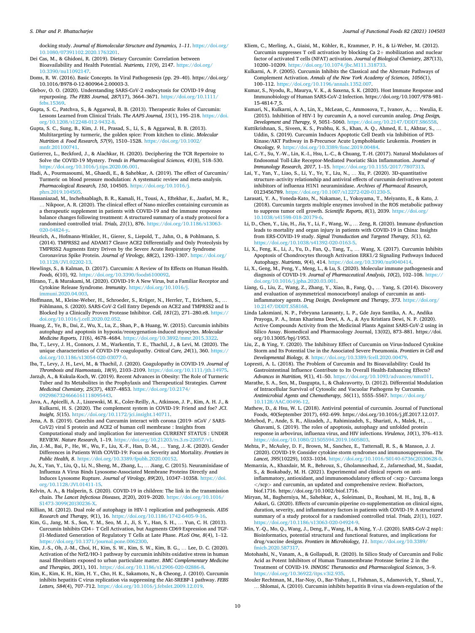#### <span id="page-9-0"></span>*S. Dhar and P. Bhattacharjee*

docking study. *Journal of Biomolecular Structure and Dynamics, 1*–*11*. [https://doi.org/](https://doi.org/10.1080/07391102.2020.1763201)  [10.1080/07391102.2020.1763201.](https://doi.org/10.1080/07391102.2020.1763201)

Dei Cas, M., & Ghidoni, R. (2019). Dietary Curcumin: Correlation between Bioavailability and Health Potential. *Nutrients, 11*(9), 2147. [https://doi.org/](https://doi.org/10.3390/nu11092147)  [10.3390/nu11092147.](https://doi.org/10.3390/nu11092147)

Doms, R. W. (2016). Basic Concepts. In Viral Pathogenesis (pp. 29–40). https://doi.org/ 10.1016/B978-0-12-800964-2.00003-3.

Glebov, O. O. (2020). Understanding SARS-CoV-2 endocytosis for COVID-19 drug repurposing. *The FEBS Journal, 287*(17), 3664–3671. [https://doi.org/10.1111/](https://doi.org/10.1111/febs.15369)  [febs.15369.](https://doi.org/10.1111/febs.15369)

Gupta, S. C., Patchva, S., & Aggarwal, B. B. (2013). Therapeutic Roles of Curcumin: Lessons Learned from Clinical Trials. *The AAPS Journal, 15*(1), 195–218. [https://doi.](https://doi.org/10.1208/s12248-012-9432-8)  [org/10.1208/s12248-012-9432-8.](https://doi.org/10.1208/s12248-012-9432-8)

Gupta, S. C., Sung, B., Kim, J. H., Prasad, S., Li, S., & Aggarwal, B. B. (2013). Multitargeting by turmeric, the golden spice: From kitchen to clinic. *Molecular Nutrition & Food Research, 57*(9), 1510–1528. [https://doi.org/10.1002/](https://doi.org/10.1002/mnfr.201100741)  [mnfr.201100741](https://doi.org/10.1002/mnfr.201100741).

Gutierrez, L., Beckford, J., & Alachkar, H. (2020). Deciphering the TCR Repertoire to Solve the COVID-19 Mystery. *Trends in Pharmacological Sciences, 41*(8), 518–530. [https://doi.org/10.1016/j.tips.2020.06.001.](https://doi.org/10.1016/j.tips.2020.06.001)

Hadi, A., Pourmasoumi, M., Ghaedi, E., & Sahebkar, A. (2019). The effect of Curcumin/ Turmeric on blood pressure modulation: A systematic review and meta-analysis. *Pharmacological Research, 150*, 104505. [https://doi.org/10.1016/j.](https://doi.org/10.1016/j.phrs.2019.104505)  [phrs.2019.104505](https://doi.org/10.1016/j.phrs.2019.104505).

Hassaniazad, M., Inchehsablagh, B. R., Kamali, H., Tousi, A., Eftekhar, E., Jaafari, M. R., … Nikpoor, A. R. (2020). The clinical effect of Nano micelles containing curcumin as a therapeutic supplement in patients with COVID-19 and the immune responses balance changes following treatment: A structured summary of a study protocol for a randomised controlled trial. *Trials, 21*(1), 876. [https://doi.org/10.1186/s13063-](https://doi.org/10.1186/s13063-020-04824-y)  [020-04824-y.](https://doi.org/10.1186/s13063-020-04824-y)

Heurich, A., Hofmann-Winkler, H., Gierer, S., Liepold, T., Jahn, O., & Pohlmann, S. (2014). TMPRSS2 and ADAM17 Cleave ACE2 Differentially and Only Proteolysis by TMPRSS2 Augments Entry Driven by the Severe Acute Respiratory Syndrome Coronavirus Spike Protein. *Journal of Virology, 88*(2), 1293–1307. [https://doi.org/](https://doi.org/10.1128/JVI.02202-13) [10.1128/JVI.02202-13](https://doi.org/10.1128/JVI.02202-13).

Hewlings, S., & Kalman, D. (2017). Curcumin: A Review of Its Effects on Human Health. *Foods, 6*(10), 92. [https://doi.org/10.3390/foods6100092.](https://doi.org/10.3390/foods6100092)

Hirano, T., & Murakami, M. (2020). COVID-19: A New Virus, but a Familiar Receptor and Cytokine Release Syndrome. *Immunity*. [https://doi.org/10.1016/j.](https://doi.org/10.1016/j.immuni.2020.04.003) [immuni.2020.04.003](https://doi.org/10.1016/j.immuni.2020.04.003).

Hoffmann, M., Kleine-Weber, H., Schroeder, S., Krüger, N., Herrler, T., Erichsen, S., … Pohlmann, S. (2020). SARS-CoV-2 Cell Entry Depends on ACE2 and TMPRSS2 and Is Blocked by a Clinically Proven Protease Inhibitor. *Cell, 181*(2), 271–280.e8. [https://](https://doi.org/10.1016/j.cell.2020.02.052)  [doi.org/10.1016/j.cell.2020.02.052](https://doi.org/10.1016/j.cell.2020.02.052).

Huang, Z., Ye, B., Dai, Z., Wu, X., Lu, Z., Shan, P., & Huang, W. (2015). Curcumin inhibits autophagy and apoptosis in hypoxia/reoxygenation-induced myocytes. *Molecular Medicine Reports, 11*(6), 4678–4684. <https://doi.org/10.3892/mmr.2015.3322>.

Iba, T., Levy, J. H., Connors, J. M., Warkentin, T. E., Thachil, J., & Levi, M. (2020). The unique characteristics of COVID-19 coagulopathy. *Critical Care, 24*(1), 360. [https://](https://doi.org/10.1186/s13054-020-03077-0)  [doi.org/10.1186/s13054-020-03077-0](https://doi.org/10.1186/s13054-020-03077-0).

Iba, T., Levy, J. H., Levi, M., & Thachil, J. (2020). Coagulopathy in COVID-19. *Journal of Thrombosis and Haemostasis, 18*(9), 2103–2109. [https://doi.org/10.1111/jth.14975.](https://doi.org/10.1111/jth.14975)

Jarząb, A., & Kukula-Koch, W. (2019). Recent Advances in Obesity: The Role of Turmeric Tuber and Its Metabolites in the Prophylaxis and Therapeutical Strategies. *Current Medicinal Chemistry, 25*(37), 4837–4853. [https://doi.org/10.2174/](https://doi.org/10.2174/0929867324666161118095443)  [0929867324666161118095443](https://doi.org/10.2174/0929867324666161118095443).

Java, A., Apicelli, A. J., Liszewski, M. K., Coler-Reilly, A., Atkinson, J. P., Kim, A. H. J., & Kulkarni, H. S. (2020). The complement system in COVID-19: Friend and foe? *JCI*. *Insight, 5*(15).<https://doi.org/10.1172/jci.insight.140711>.

Jena, A. B. (2019). Catechin and Curcumin interact with corona (2019- nCoV / SARS-CoV2) viral S protein and ACE2 of human cell membrane : Insights from Computational study and implication for intervention CURRENT STATUS : UNDER REVIEW. *Nature Research*, 1–19. [https://doi.org/10.21203/rs.3.rs-22057/v1.](https://doi.org/10.21203/rs.3.rs-22057/v1)

Jin, J.-M., Bai, P., He, W., Wu, F., Liu, X.-F., Han, D.-M., … Yang, J.-K. (2020). Gender Differences in Patients With COVID-19: Focus on Severity and Mortality. *Frontiers in Public Health, 8*. <https://doi.org/10.3389/fpubh.2020.00152>.

Ju, X., Yan, Y., Liu, Q., Li, N., Sheng, M., Zhang, L., … Jiang, C. (2015). Neuraminidase of Influenza A Virus Binds Lysosome-Associated Membrane Proteins Directly and Induces Lysosome Rupture. *Journal of Virology, 89*(20), 10347–10358. [https://doi.](https://doi.org/10.1128/JVI.01411-15) [org/10.1128/JVI.01411-15.](https://doi.org/10.1128/JVI.01411-15)

Kelvin, A. A., & Halperin, S. (2020). COVID-19 in children: The link in the transmission chain. *The Lancet Infectious Diseases, 2*(20), 2019–2020. [https://doi.org/10.1016/](https://doi.org/10.1016/S1473-3099(20)30236-X)  [S1473-3099\(20\)30236-X.](https://doi.org/10.1016/S1473-3099(20)30236-X)

Killian, M. (2012). Dual role of autophagy in HIV-1 replication and pathogenesis. *AIDS Research and Therapy, 9*(1), 16. [https://doi.org/10.1186/1742-6405-9-16.](https://doi.org/10.1186/1742-6405-9-16)

Kim, G., Jang, M. S., Son, Y. M., Seo, M. J., Ji, S. Y., Han, S. H., … Yun, C. H. (2013). Curcumin Inhibits CD4+ T Cell Activation, but Augments CD69 Expression and TGFβ1-Mediated Generation of Regulatory T Cells at Late Phase. *PLoS One, 8*(4), 1–12. <https://doi.org/10.1371/journal.pone.0062300>.

Kim, J.-S., Oh, J.-M., Choi, H., Kim, S. W., Kim, S. W., Kim, B. G., … Lee, D. C. (2020). Activation of the Nrf2/HO-1 pathway by curcumin inhibits oxidative stress in human nasal fibroblasts exposed to urban particulate matter. *BMC Complementary Medicine and Therapies, 20*(1), 101. [https://doi.org/10.1186/s12906-020-02886-8.](https://doi.org/10.1186/s12906-020-02886-8)

Kim, K., Kim, K. H., Kim, H. Y., Cho, H. K., Sakamoto, N., & Cheong, J. (2010). Curcumin inhibits hepatitis C virus replication via suppressing the Akt-SREBP-1 pathway. *FEBS Letters, 584*(4), 707–712.<https://doi.org/10.1016/j.febslet.2009.12.019>.

Kliem, C., Merling, A., Giaisi, M., Köhler, R., Krammer, P. H., & Li-Weber, M. (2012). Curcumin suppresses T cell activation by blocking Ca 2+ mobilization and nuclear factor of activated T cells (NFAT) activation. *Journal of Biological Chemistry, 287*(13), 10200–10209. <https://doi.org/10.1074/jbc.M111.318733>.

Kulkarni, A. P. (2005). Curcumin Inhibits the Classical and the Alternate Pathways of Complement Activation. *Annals of the New York Academy of Sciences, 1056*(1), 100–112. [https://doi.org/10.1196/annals.1352.007.](https://doi.org/10.1196/annals.1352.007)

Kumar, S., Nyodu, R., Maurya, V. K., & Saxena, S. K. (2020). Host Immune Response and Immunobiology of Human SARS-CoV-2 Infection. https://doi.org/10.1007/978-981- 15-4814-7\_5.

Kumari, N., Kulkarni, A. A., Lin, X., McLean, C., Ammosova, T., Ivanov, A., … Nwulia, E. (2015). Inhibition of HIV-1 by curcumin A, a novel curcumin analog. *Drug Design, Development and Therapy, 9, 5051-5060. https://doi.org/10.2147/DDDT.Sh6658.* 

Kuttikrishnan, S., Siveen, K. S., Prabhu, K. S., Khan, A. Q., Ahmed, E. I., Akhtar, S., … Uddin, S. (2019). Curcumin Induces Apoptotic Cell Death via Inhibition of PI3- Kinase/AKT Pathway in B-Precursor Acute Lymphoblastic Leukemia. *Frontiers in Oncology, 9*. [https://doi.org/10.3389/fonc.2019.00484.](https://doi.org/10.3389/fonc.2019.00484)

Lai, C.-Y., Su, Y.-W., Lin, K.-I., Hsu, L.-C., & Chuang, T.-H. (2017). Natural Modulators of Endosomal Toll-Like Receptor-Mediated Psoriatic Skin Inflammation. *Journal of Immunology Research, 2017*, 1–15. <https://doi.org/10.1155/2017/7807313>.

Lai, Y., Yan, Y., Liao, S., Li, Y., Ye, Y., Liu, N., … Xu, P. (2020). 3D-quantitative structure–activity relationship and antiviral effects of curcumin derivatives as potent inhibitors of influenza H1N1 neuraminidase. *Archives of Pharmacal Research*, 0123456789.https://doi.org/10.1007/s12272-020-01230-5.

Larasati, Y. A., Yoneda-Kato, N., Nakamae, I., Yokoyama, T., Meiyanto, E., & Kato, J. (2018). Curcumin targets multiple enzymes involved in the ROS metabolic pathway to suppress tumor cell growth. *Scientific Reports, 8*(1), 2039. [https://doi.org/](https://doi.org/10.1038/s41598-018-20179-6) [10.1038/s41598-018-20179-6.](https://doi.org/10.1038/s41598-018-20179-6)

Li, D., Chen, Y., Liu, H., Jia, Y., Li, F., Wang, W., … Zeng, R. (2020). Immune dysfunction leads to mortality and organ injury in patients with COVID-19 in China: Insights from ERS-COVID-19 study. *Signal Transduction and Targeted Therapy, 5*(1), 62. [https://doi.org/10.1038/s41392-020-0163-5.](https://doi.org/10.1038/s41392-020-0163-5)

Li, X., Feng, K., Li, J., Yu, D., Fan, Q., Tang, T., … Wang, X. (2017). Curcumin Inhibits Apoptosis of Chondrocytes through Activation ERK1/2 Signaling Pathways Induced Autophagy. *Nutrients, 9*(4), 414. <https://doi.org/10.3390/nu9040414>.

Li, X., Geng, M., Peng, Y., Meng, L., & Lu, S. (2020). Molecular immune pathogenesis and diagnosis of COVID-19. *Journal of Pharmaceutical Analysis, 10*(2), 102–108. [https://](https://doi.org/10.1016/j.jpha.2020.03.001)  [doi.org/10.1016/j.jpha.2020.03.001.](https://doi.org/10.1016/j.jpha.2020.03.001)

Liang, G., Liu, Z., Wang, Z., Zhang, Y., Xiao, B., Fang, Q., … Yang, S. (2014). Discovery and evaluation of asymmetrical monocarbonyl analogs of curcumin as antiinflammatory agents. *Drug Design, Development and Therapy, 373*. [https://doi.org/](https://doi.org/10.2147/DDDT.S58168)  [10.2147/DDDT.S58168](https://doi.org/10.2147/DDDT.S58168).

Linda Laksmiani, N. P., Febryana Larasanty, L. P., Gde Jaya Santika, A. A., Andika Prayoga, P. A., Intan Kharisma Dewi, A. A., & Ayu Kristiara Dewi, N. P. (2020). Active Compounds Activity from the Medicinal Plants Against SARS-CoV-2 using in Silico Assay. Biomedical and Pharmacology Journal, 13(02), 873–881. https://doi. org/10.13005/bpj/1953.

Liu, Z., & Ying, Y. (2020). The Inhibitory Effect of Curcumin on Virus-Induced Cytokine Storm and Its Potential Use in the Associated Severe Pneumonia. *Frontiers in Cell and Developmental Biology, 8*. <https://doi.org/10.3389/fcell.2020.00479>.

Lopresti, A. L. (2018). The Problem of Curcumin and Its Bioavailability: Could Its Gastrointestinal Influence Contribute to Its Overall Health-Enhancing Effects? *Advances in Nutrition, 9*(1), 41–50.<https://doi.org/10.1093/advances/nmx011>.

Marathe, S. A., Sen, M., Dasgupta, I., & Chakravortty, D. (2012). Differential Modulation of Intracellular Survival of Cytosolic and Vacuolar Pathogens by Curcumin. *Antimicrobial Agents and Chemotherapy, 56*(11), 5555–5567. [https://doi.org/](https://doi.org/10.1128/AAC.00496-12) [10.1128/AAC.00496-12.](https://doi.org/10.1128/AAC.00496-12)

Mathew, D., & Hsu, W. L. (2018). Antiviral potential of curcumin. Journal of Functional Foods, 40(September 2017), 692–699. https://doi.org/10.1016/j.jff.2017.12.017.

Mehrbod, P., Ande, S. R., Alizadeh, J., Rahimizadeh, S., Shariati, A., Malek, H., … Ghavami, S. (2019). The roles of apoptosis, autophagy and unfolded protein response in arbovirus, influenza virus, and HIV infections. *Virulence, 10*(1), 376–413. <https://doi.org/10.1080/21505594.2019.1605803>.

Mehta, P., McAuley, D. F., Brown, M., Sanchez, E., Tattersall, R. S., & Manson, J. J. (2020). COVID-19: Consider cytokine storm syndromes and immunosuppression. *The Lancet, 395*(10229), 1033–1034. [https://doi.org/10.1016/S0140-6736\(20\)30628-0.](https://doi.org/10.1016/S0140-6736(20)30628-0)

Memarzia, A., Khazdair, M. R., Behrouz, S., Gholamnezhad, Z., Jafarnezhad, M., Saadat, S., & Boskabady, M. H. (2021). Experimental and clinical reports on antiinflammatory, antioxidant, and immunomodulatory effects of *<*scp*>* Curcuma longa *<*/scp*>* and curcumin, an updated and comprehensive review. BioFactors, biof.1716. https://doi.org/10.1002/biof.1716.

Miryan, M., Bagherniya, M., Sahebkar, A., Soleimani, D., Rouhani, M. H., Iraj, B., & Askari, G. (2020). Effects of curcumin-piperine co-supplementation on clinical signs, duration, severity, and inflammatory factors in patients with COVID-19: A structured summary of a study protocol for a randomised controlled trial. *Trials, 21*(1), 1027. doi.org/10.1186/s13063-020-04924-

Min, Y.-Q., Mo, Q., Wang, J., Deng, F., Wang, H., & Ning, Y.-J. (2020). SARS-CoV-2 nsp1: Bioinformatics, potential structural and functional features, and implications for drug/vaccine designs. *Frontiers in Microbiology, 11*. [https://doi.org/10.3389/](https://doi.org/10.3389/fmicb.2020.587317)  [fmicb.2020.587317.](https://doi.org/10.3389/fmicb.2020.587317)

Motohashi, N., Vanam, A., & Gollapudi, R. (2020). In Silico Study of Curcumin and Folic Acid as Potent Inhibitors of Human Transmembrane Protease Serine 2 in the Treatment of COVID-19. *INNOSC Theranostics and Pharmacological Sciences*, 3–9. [https://doi.org/10.36922/itps.v3i2.935.](https://doi.org/10.36922/itps.v3i2.935)

Mouler Rechtman, M., Har-Noy, O., Bar-Yishay, I., Fishman, S., Adamovich, Y., Shaul, Y., … Shlomai, A. (2010). Curcumin inhibits hepatitis B virus via down-regulation of the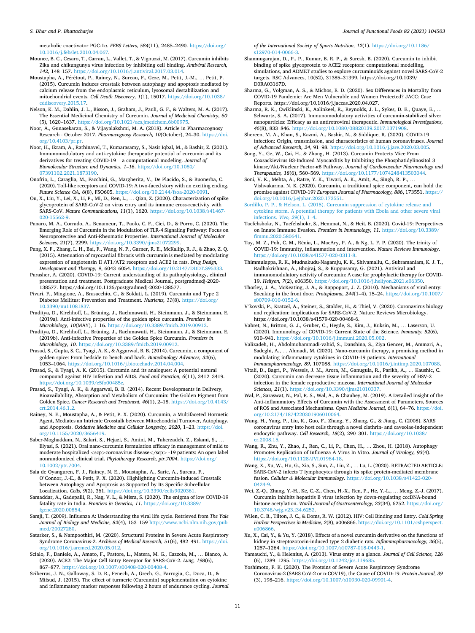#### <span id="page-10-0"></span>*S. Dhar and P. Bhattacharjee*

metabolic coactivator PGC-1α. *FEBS Letters, 584*(11), 2485–2490. [https://doi.org/](https://doi.org/10.1016/j.febslet.2010.04.067) [10.1016/j.febslet.2010.04.067.](https://doi.org/10.1016/j.febslet.2010.04.067)

- Mounce, B. C., Cesaro, T., Carrau, L., Vallet, T., & Vignuzzi, M. (2017). Curcumin inhibits Zika and chikungunya virus infection by inhibiting cell binding. *Antiviral Research, 142*, 148–157. [https://doi.org/10.1016/j.antiviral.2017.03.014.](https://doi.org/10.1016/j.antiviral.2017.03.014)
- Moustapha, A., Pérétout, P., Rainey, N., Sureau, F., Geze, M., Petit, J.-M., ... Petit, P. (2015). Curcumin induces crosstalk between autophagy and apoptosis mediated by calcium release from the endoplasmic reticulum, lysosomal destabilization and mitochondrial events. *Cell Death Discovery, 1*(1), 15017. [https://doi.org/10.1038/](https://doi.org/10.1038/cddiscovery.2015.17) [cddiscovery.2015.17](https://doi.org/10.1038/cddiscovery.2015.17).
- Nelson, K. M., Dahlin, J. L., Bisson, J., Graham, J., Pauli, G. F., & Walters, M. A. (2017). The Essential Medicinal Chemistry of Curcumin. *Journal of Medicinal Chemistry, 60*  (5), 1620–1637. <https://doi.org/10.1021/acs.jmedchem.6b00975>.
- Noor, A., Gunasekaran, S., & Vijayalakshmi, M. A. (2018). Article in Pharmacognosy Research ⋅ October 2017. *Pharmacognosy Research, 10*(October), 24–30. [https://doi.](https://doi.org/10.4103/pr.pr)  [org/10.4103/pr.pr](https://doi.org/10.4103/pr.pr).
- Noor, H., Ikram, A., Rathinavel, T., Kumarasamy, S., Nasir Iqbal, M., & Bashir, Z. (2021). Immunomodulatory and anti-cytokine therapeutic potential of curcumin and its derivatives for treating COVID-19 – a computational modeling. *Journal of Biomolecular Structure and Dynamics, 1*–*16*. [https://doi.org/10.1080/](https://doi.org/10.1080/07391102.2021.1873190) [07391102.2021.1873190](https://doi.org/10.1080/07391102.2021.1873190).
- Onofrio, L., Caraglia, M., Facchini, G., Margherita, V., De Placido, S., & Buonerba, C. (2020). Toll-like receptors and COVID-19: A two-faced story with an exciting ending. *Future Science OA, 6*(8), FSO605. [https://doi.org/10.2144/fsoa-2020-0091.](https://doi.org/10.2144/fsoa-2020-0091)
- Ou, X., Liu, Y., Lei, X., Li, P., Mi, D., Ren, L., … Qian, Z. (2020). Characterization of spike glycoprotein of SARS-CoV-2 on virus entry and its immune cross-reactivity with SARS-CoV. *Nature Communications, 11*(1), 1620. https://doi.org/10.1038/s [020-15562-9.](https://doi.org/10.1038/s41467-020-15562-9)
- Panaro, M. A., Corrado, A., Benameur, T., Paolo, C. F., Cici, D., & Porro, C. (2020). The Emerging Role of Curcumin in the Modulation of TLR-4 Signaling Pathway: Focus on Neuroprotective and Anti-Rheumatic Properties. *International Journal of Molecular Sciences, 21*(7), 2299. <https://doi.org/10.3390/ijms21072299>.
- Pang, X. F., Zhang, L. H., Bai, F., Wang, N. P., Garner, R. E., McKallip, R. J., & Zhao, Z. Q. (2015). Attenuation of myocardial fibrosis with curcumin is mediated by modulating expression of angiotensin II AT1/AT2 receptors and ACE2 in rats. *Drug Design, Development and Therapy, 9*, 6043–6054. [https://doi.org/10.2147/DDDT.S95333.](https://doi.org/10.2147/DDDT.S95333)
- Parasher, A. (2020). COVID-19: Current understanding of its pathophysiology, clinical presentation and treatment. Postgraduate Medical Journal, postgradmedj-2020- 138577. https://doi.org/10.1136/postgradmedj-2020-138577.
- Pivari, F., Mingione, A., Brasacchio, C., & Soldati, L. (2019). Curcumin and Type 2 Diabetes Mellitus: Prevention and Treatment. *Nutrients, 11*(8). [https://doi.org/](https://doi.org/10.3390/nu11081837)  [10.3390/nu11081837.](https://doi.org/10.3390/nu11081837)
- Praditya, D., Kirchhoff, L., Brüning, J., Rachmawati, H., Steinmann, J., & Steinmann, E. (2019a). Anti-infective properties of the golden spice curcumin. *Frontiers in Microbiology, 10*(MAY), 1–16. <https://doi.org/10.3389/fmicb.2019.00912>.
- Praditya, D., Kirchhoff, L., Brüning, J., Rachmawati, H., Steinmann, J., & Steinmann, E. (2019b). Anti-infective Properties of the Golden Spice Curcumin. *Frontiers in Microbiology, 10*. [https://doi.org/10.3389/fmicb.2019.00912.](https://doi.org/10.3389/fmicb.2019.00912)
- Prasad, S., Gupta, S. C., Tyagi, A. K., & Aggarwal, B. B. (2014). Curcumin, a component of golden spice: From bedside to bench and back. *Biotechnology Advances, 32*(6), 1053–1064. [https://doi.org/10.1016/j.biotechadv.2014.04.004.](https://doi.org/10.1016/j.biotechadv.2014.04.004)
- Prasad, S., & Tyagi, A. K. (2015). Curcumin and its analogues: A potential natural compound against HIV infection and AIDS. *Food and Function, 6*(11), 3412–3419. <https://doi.org/10.1039/c5fo00485c>.
- Prasad, S., Tyagi, A. K., & Aggarwal, B. B. (2014). Recent Developments in Delivery, Bioavailability, Absorption and Metabolism of Curcumin: The Golden Pigment from Golden Spice. *Cancer Research and Treatment, 46*(1), 2–18. [https://doi.org/10.4143/](https://doi.org/10.4143/crt.2014.46.1.2)  [crt.2014.46.1.2](https://doi.org/10.4143/crt.2014.46.1.2).
- Rainey, N. E., Moustapha, A., & Petit, P. X. (2020). Curcumin, a Multifaceted Hormetic Agent, Mediates an Intricate Crosstalk between Mitochondrial Turnover, Autophagy, and Apoptosis. *Oxidative Medicine and Cellular Longevity, 2020*, 1–23. [https://doi.](https://doi.org/10.1155/2020/3656419)  [org/10.1155/2020/3656419](https://doi.org/10.1155/2020/3656419).
- Saber-Moghaddam, N., Salari, S., Hejazi, S., Amini, M., Taherzadeh, Z., Eslami, S., … Elyasi, S. (2021). Oral nano-curcumin formulation efficacy in management of mild to moderate hospitalized *<*scp*>*coronavirus disease*<*/scp*>* -19 patients: An open label nonrandomized clinical trial. *Phytotherapy Research, ptr.7004*. [https://doi.org/](https://doi.org/10.1002/ptr.7004)  [10.1002/ptr.7004](https://doi.org/10.1002/ptr.7004).
- Sala de Oyanguren, F. J., Rainey, N. E., Moustapha, A., Saric, A., Sureau, F., O'Connor, J.-E., & Petit, P. X. (2020). Highlighting Curcumin-Induced Crosstalk between Autophagy and Apoptosis as Supported by Its Specific Subcellular Localization. *Cells, 9*(2), 361. <https://doi.org/10.3390/cells9020361>.
- Samaddar, A., Gadepalli, R., Nag, V. L., & Misra, S. (2020). The enigma of low COVID-19 fatality rate in India. *Frontiers in Genetics, 11*. [https://doi.org/10.3389/](https://doi.org/10.3389/fgene.2020.00854)  [fgene.2020.00854.](https://doi.org/10.3389/fgene.2020.00854)
- Samji, T. (2009). Influenza A: Understanding the viral life cycle. Retrieved from *The Yale Journal of Biology and Medicine, 82*(4), 153–159 [http://www.ncbi.nlm.nih.gov/pub](http://www.ncbi.nlm.nih.gov/pubmed/20027280) [med/20027280.](http://www.ncbi.nlm.nih.gov/pubmed/20027280)
- Satarker, S., & Nampoothiri, M. (2020). Structural Proteins in Severe Acute Respiratory Syndrome Coronavirus-2. *Archives of Medical Research, 51*(6), 482–491. [https://doi.](https://doi.org/10.1016/j.arcmed.2020.05.012)  rg/10.1016/j.arcmed.2020.05.012.
- Scialo, F., Daniele, A., Amato, F., Pastore, L., Matera, M. G., Cazzola, M., … Bianco, A. (2020). ACE2: The Major Cell Entry Receptor for SARS-CoV-2. *Lung, 198*(6), 867–877. [https://doi.org/10.1007/s00408-020-00408-4.](https://doi.org/10.1007/s00408-020-00408-4)
- Sciberras, J. N., Galloway, S. D. R., Fenech, A., Grech, G., Farrugia, C., Duca, D., & Mifsud, J. (2015). The effect of turmeric (Curcumin) supplementation on cytokine and inflammatory marker responses following 2 hours of endurance cycling. *Journal*

*of the International Society of Sports Nutrition, 12*(1). [https://doi.org/10.1186/](https://doi.org/10.1186/s12970-014-0066-3)  [s12970-014-0066-3.](https://doi.org/10.1186/s12970-014-0066-3)

- Shanmugarajan, D., P., P., Kumar, B. R. P., & Suresh, B. (2020). Curcumin to inhibit binding of spike glycoprotein to ACE2 receptors: computational modelling, simulations, and ADMET studies to explore curcuminoids against novel SARS-CoV-2 targets. RSC Advances, 10(52), 31385–31399. https://doi.org/10.1039/ D0RA03167D.
- Sharma, G., Volgman, A. S., & Michos, E. D. (2020). Sex Differences in Mortality from COVID-19 Pandemic: Are Men Vulnerable and Women Protected? JACC: Case Reports. https://doi.org/10.1016/j.jaccas.2020.04.027.
- Sharma, R. K., Cwiklinski, K., Aalinkeel, R., Reynolds, J. L., Sykes, D. E., Quaye, E., … Schwartz, S. A. (2017). Immunomodulatory activities of curcumin-stabilized silver nanoparticles: Efficacy as an antiretroviral therapeutic. *Immunological Investigations, 46*(8), 833–846. <https://doi.org/10.1080/08820139.2017.1371908>.
- Shereen, M. A., Khan, S., Kazmi, A., Bashir, N., & Siddique, R. (2020). COVID-19 infection: Origin, transmission, and characteristics of human coronaviruses. *Journal of Advanced Research, 24*, 91–98.<https://doi.org/10.1016/j.jare.2020.03.005>.
- Song, Y., Ge, W., Cai, H., & Zhang, H. (2013). Curcumin Protects Mice From Coxsackievirus B3-Induced Myocarditis by Inhibiting the Phosphatidylinositol 3 kinase/Akt/Nuclear Factor-κB Pathway. *Journal of Cardiovascular Pharmacology and Therapeutics, 18*(6), 560–569. <https://doi.org/10.1177/1074248413503044>.
- Soni, V. K., Mehta, A., Ratre, Y. K., Tiwari, A. K., Amit, A., Singh, R. P., … Vishvakarma, N. K. (2020). Curcumin, a traditional spice component, can hold the promise against COVID-19? *European Journal of Pharmacology, 886*, 173551. [https://](https://doi.org/10.1016/j.ejphar.2020.173551)  [doi.org/10.1016/j.ejphar.2020.173551](https://doi.org/10.1016/j.ejphar.2020.173551).
- [Sordillo, P. P., & Helson, L. \(2015\). Curcumin suppression of cytokine release and](http://refhub.elsevier.com/S1756-4646(21)00152-3/h0500)  [cytokine storm. A potential therapy for patients with Ebola and other severe viral](http://refhub.elsevier.com/S1756-4646(21)00152-3/h0500) [infections.](http://refhub.elsevier.com/S1756-4646(21)00152-3/h0500) *Vivo, 29*(1), 1–4.
- Taefehshokr, N., Taefehshokr, S., Hemmat, N., & Heit, B. (2020). Covid-19: Perspectives on Innate Immune Evasion. *Frontiers in Immunology, 11*. [https://doi.org/10.3389/](https://doi.org/10.3389/fimmu.2020.580641) [fimmu.2020.580641](https://doi.org/10.3389/fimmu.2020.580641).
- Tay, M. Z., Poh, C. M., Rénia, L., MacAry, P. A., & Ng, L. F. P. (2020). The trinity of COVID-19: Immunity, inflammation and intervention. *Nature Reviews Immunology*. [https://doi.org/10.1038/s41577-020-0311-8.](https://doi.org/10.1038/s41577-020-0311-8)
- Thimmulappa, R. K., Mudnakudu-Nagaraju, K. K., Shivamallu, C., Subramaniam, K. J. T., Radhakrishnan, A., Bhojraj, S., & Kuppusamy, G. (2021). Antiviral and immunomodulatory activity of curcumin: A case for prophylactic therapy for COVID-19. *Heliyon, 7*(2), e06350. <https://doi.org/10.1016/j.heliyon.2021.e06350>.
- Thorley, J. A., McKeating, J. A., & Rappoport, J. Z. (2010). Mechanisms of viral entry: Sneaking in the front door. *Protoplasma, 244*(1–4), 15–24. [https://doi.org/10.1007/](https://doi.org/10.1007/s00709-010-0152-6)  [s00709-010-0152-6.](https://doi.org/10.1007/s00709-010-0152-6)
- V'kovski, P., Kratzel, A., Steiner, S., Stalder, H., & Thiel, V. (2020). Coronavirus biology and replication: implications for SARS-CoV-2. Nature Reviews Microbiology. https://doi.org/10.1038/s41579-020-00468-6.
- Vabret, N., Britton, G. J., Gruber, C., Hegde, S., Kim, J., Kuksin, M., … Laserson, U. (2020). Immunology of COVID-19: Current State of the Science. *Immunity, 52*(6), 910–941. <https://doi.org/10.1016/j.immuni.2020.05.002>.
- Valizadeh, H., Abdolmohammadi-vahid, S., Danshina, S., Ziya Gencer, M., Ammari, A., Sadeghi, A., … Ahmadi, M. (2020). Nano-curcumin therapy, a promising method in modulating inflammatory cytokines in COVID-19 patients. *International Immunopharmacology, 89*, 107088. [https://doi.org/10.1016/j.intimp.2020.107088.](https://doi.org/10.1016/j.intimp.2020.107088)
- Vitali, D., Bagri, P., Wessels, J. M., Arora, M., Ganugula, R., Parikh, A., … Kaushic, C. (2020). Curcumin can decrease tissue inflammation and the severity of HSV-2 infection in the female reproductive mucosa. *International Journal of Molecular Sciences, 21*(1). [https://doi.org/10.3390/ijms21010337.](https://doi.org/10.3390/ijms21010337)
- Wal, P., Saraswat, N., Pal, R. S., Wal, A., & Chaubey, M. (2019). A Detailed Insight of the Anti-inflammatory Effects of Curcumin with the Assessment of Parameters, Sources of ROS and Associated Mechanisms. *Open Medicine Journal, 6*(1), 64–76. [https://doi.](https://doi.org/10.2174/1874220301906010064)  [org/10.2174/1874220301906010064.](https://doi.org/10.2174/1874220301906010064)
- Wang, H., Yang, P., Liu, K., Guo, F., Zhang, Y., Zhang, G., & Jiang, C. (2008). SARS coronavirus entry into host cells through a novel clathrin- and caveolae-independent endocytic pathway. *Cell Research, 18*(2), 290–301. [https://doi.org/10.1038/](https://doi.org/10.1038/cr.2008.15)  [cr.2008.15](https://doi.org/10.1038/cr.2008.15).
- Wang, R., Zhu, Y., Zhao, J., Ren, C., Li, P., Chen, H., … Zhou, H. (2018). Autophagy Promotes Replication of Influenza A Virus In Vitro. *Journal of Virology, 93*(4). [https://doi.org/10.1128/JVI.01984-18.](https://doi.org/10.1128/JVI.01984-18)
- Wang, X., Xu, W., Hu, G., Xia, S., Sun, Z., Liu, Z., … Lu, L. (2020). RETRACTED ARTICLE: SARS-CoV-2 infects T lymphocytes through its spike protein-mediated membrane fusion. *Cellular & Molecular Immunology*. [https://doi.org/10.1038/s41423-020-](https://doi.org/10.1038/s41423-020-0424-9) [0424-9.](https://doi.org/10.1038/s41423-020-0424-9)
- Wei, Z.-Q., Zhang, Y.-H., Ke, C.-Z., Chen, H.-X., Ren, P., He, Y.-L., … Meng, Z.-J. (2017). Curcumin inhibits hepatitis B virus infection by down-regulating cccDNA-bound histone acetylation. *World Journal of Gastroenterology, 23*(34), 6252. [https://doi.org/](https://doi.org/10.3748/wjg.v23.i34.6252)  [10.3748/wjg.v23.i34.6252.](https://doi.org/10.3748/wjg.v23.i34.6252)
- Wilen, C. B., Tilton, J. C., & Doms, R. W. (2012). HIV: Cell Binding and Entry. *Cold Spring Harbor Perspectives in Medicine, 2(8), a006866. https://doi.org/10.1101/cshpers* [a006866](https://doi.org/10.1101/cshperspect.a006866).
- Xu, X., Cai, Y., & Yu, Y. (2018). Effects of a novel curcumin derivative on the functions of kidney in streptozotocin-induced type 2 diabetic rats. *Inflammopharmacology, 26*(5), 1257–1264.<https://doi.org/10.1007/s10787-018-0449-1>.
- Yamauchi, Y., & Helenius, A. (2013). Virus entry at a glance. *Journal of Cell Science, 126*  (6), 1289–1295. <https://doi.org/10.1242/jcs.119685>.
- Yoshimoto, F. K. (2020). The Proteins of Severe Acute Respiratory Syndrome Coronavirus-2 (SARS CoV-2 or n-COV19), the Cause of COVID-19. *Protein Journal, 39*  (3), 198–216.<https://doi.org/10.1007/s10930-020-09901-4>.